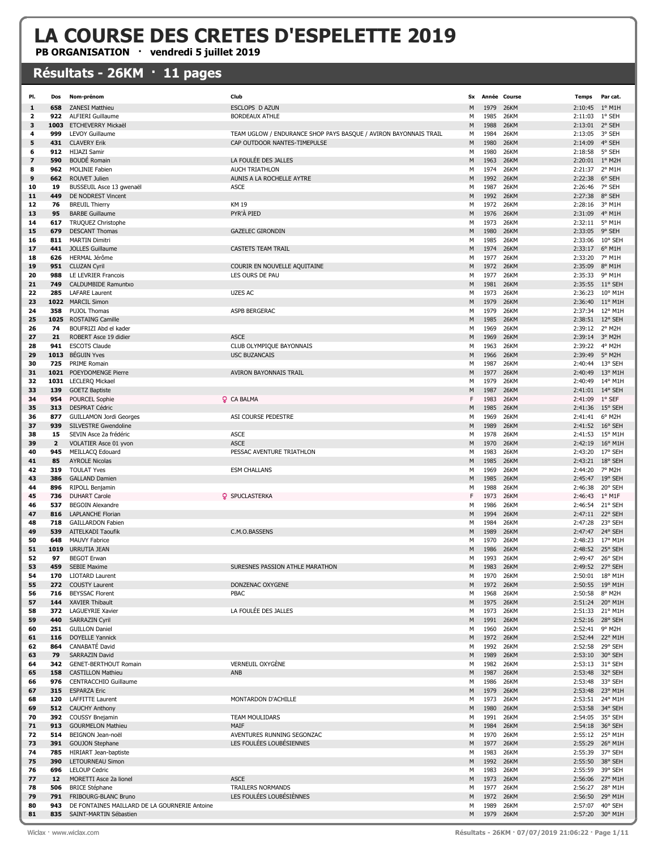## LA COURSE DES CRETES D'ESPELETTE 2019

PB ORGANISATION · vendredi 5 juillet 2019

## Résultats - 26KM · 11 pages

| PI.      | Dos            | Nom-prénom                                        | Club                                                             | Sx     |              | Année Course               | <b>Temps</b>       | Par cat.                           |
|----------|----------------|---------------------------------------------------|------------------------------------------------------------------|--------|--------------|----------------------------|--------------------|------------------------------------|
| 1        | 658            | <b>ZANESI Matthieu</b>                            | ESCLOPS D AZUN                                                   | M      | 1979         | <b>26KM</b>                | 2:10:45            | $1^{\circ}$ M1H                    |
| 2        | 922            | <b>ALFIERI Guillaume</b>                          | <b>BORDEAUX ATHLE</b>                                            | М      | 1985         | <b>26KM</b>                | 2:11:03            | 1° SEH                             |
| з        | 1003           | <b>ETCHEVERRY Mickaël</b>                         |                                                                  | М      | 1988         | <b>26KM</b>                | 2:13:01 2° SEH     |                                    |
| 4        | 999            | <b>LEVOY Guillaume</b>                            | TEAM UGLOW / ENDURANCE SHOP PAYS BASQUE / AVIRON BAYONNAIS TRAIL | М      | 1984         | <b>26KM</b>                | 2:13:05            | 3° SEH                             |
| 5        | 431            | <b>CLAVERY Erik</b>                               | CAP OUTDOOR NANTES-TIMEPULSE                                     | M      | 1980         | <b>26KM</b>                | 2:14:09            | 4° SEH                             |
| 6        | 912            | <b>HIJAZI Samir</b>                               |                                                                  | М      | 1980         | <b>26KM</b>                | 2:18:58            | 5° SEH                             |
| 7        | 590            | <b>BOUDÉ Romain</b>                               | LA FOULÉE DES JALLES                                             | M      | 1963         | 26KM                       | 2:20:01 1° M2H     |                                    |
| 8        | 962            | <b>MOLINIE Fabien</b>                             | <b>AUCH TRIATHLON</b>                                            | М      | 1974         | <b>26KM</b>                | 2:21:37            | 2° M1H                             |
| 9        | 662            | ROUVET Julien                                     | AUNIS A LA ROCHELLE AYTRE                                        | M      | 1992         | <b>26KM</b>                | 2:22:38            | 6° SEH                             |
| 10       | 19             | BUSSEUIL Asce 13 gwenaël                          | <b>ASCE</b>                                                      | М      | 1987         | <b>26KM</b>                | 2:26:46            | 7° SEH                             |
| 11       | 449            | DE NODREST Vincent                                |                                                                  | M      | 1992         | <b>26KM</b>                | 2:27:38            | 8° SEH                             |
| 12       | 76             | <b>BREUIL Thierry</b>                             | KM 19                                                            | М      | 1972         | 26KM                       | 2:28:16            | 3° M1H                             |
| 13       | 95             | <b>BARBE Guillaume</b>                            | PYR'À PIED                                                       | M      | 1976         | <b>26KM</b>                | 2:31:09            | 4° M1H                             |
| 14       | 617            | TRUQUEZ Christophe                                |                                                                  | М      | 1973         | <b>26KM</b>                | 2:32:11 5° M1H     |                                    |
| 15       | 679            | <b>DESCANT Thomas</b>                             | <b>GAZELEC GIRONDIN</b>                                          | M      | 1980         | <b>26KM</b>                | 2:33:05 9° SEH     |                                    |
| 16       | 811            | <b>MARTIN Dimitri</b>                             |                                                                  | М      | 1985         | <b>26KM</b>                | 2:33:06            | 10° SEH                            |
| 17       | 441            | <b>JOLLES Guillaume</b>                           | <b>CASTETS TEAM TRAIL</b>                                        | M      | 1974         | <b>26KM</b>                | 2:33:17            | $6^{\circ}$ M1H                    |
| 18       | 626            | HERMAL Jérôme                                     |                                                                  | М      | 1977         | <b>26KM</b>                | 2:33:20            | 7° M1H                             |
| 19       | 951            | <b>CLUZAN Cyril</b>                               | COURIR EN NOUVELLE AQUITAINE<br>LES OURS DE PAU                  | М      | 1972<br>1977 | <b>26KM</b><br><b>26KM</b> | 2:35:09<br>2:35:33 | 8° M1H<br>9° M1H                   |
| 20<br>21 | 988<br>749     | LE LEVRIER Francois<br><b>CALDUMBIDE Ramuntxo</b> |                                                                  | М<br>M | 1981         | <b>26KM</b>                | 2:35:55            | 11° SEH                            |
| 22       | 285            | <b>LAFARE Laurent</b>                             | <b>UZES AC</b>                                                   | М      | 1973         | <b>26KM</b>                | 2:36:23            | 10° M1H                            |
| 23       | 1022           | <b>MARCIL Simon</b>                               |                                                                  | М      | 1979         | <b>26KM</b>                | 2:36:40            | $11^{\circ}$ M1H                   |
| 24       | 358            | <b>PUJOL Thomas</b>                               | ASPB BERGERAC                                                    | М      | 1979         | <b>26KM</b>                | 2:37:34            | 12° M1H                            |
| 25       | 1025           | <b>ROSTAING Camille</b>                           |                                                                  | M      | 1985         | <b>26KM</b>                |                    | 2:38:51 12° SEH                    |
| 26       | 74             | BOUFRIZI Abd el kader                             |                                                                  | М      | 1969         | <b>26KM</b>                | 2:39:12            | 2° M2H                             |
| 27       | 21             | ROBERT Asce 19 didien                             | <b>ASCE</b>                                                      | М      | 1969         | <b>26KM</b>                | 2:39:14 3° M2H     |                                    |
| 28       | 941            | <b>ESCOTS Claude</b>                              | CLUB OLYMPIQUE BAYONNAIS                                         | M      | 1963         | <b>26KM</b>                | 2:39:22            | 4° M2H                             |
| 29       | 1013           | <b>BÉGUIN Yves</b>                                | <b>USC BUZANCAIS</b>                                             | M      | 1966         | <b>26KM</b>                | 2:39:49            | 5° M2H                             |
| 30       | 725            | PRIME Romain                                      |                                                                  | М      | 1987         | <b>26KM</b>                |                    | 2:40:44 13° SEH                    |
| 31       | 1021           | POEYDOMENGE Pierre                                | AVIRON BAYONNAIS TRAIL                                           | М      | 1977         | <b>26KM</b>                | 2:40:49            | 13° M1H                            |
| 32       | 1031           | LECLERQ Mickael                                   |                                                                  | М      | 1979         | <b>26KM</b>                | 2:40:49            | 14° M1H                            |
| 33       | 139            | <b>GOETZ Baptiste</b>                             |                                                                  | M      | 1987         | <b>26KM</b>                | 2:41:01            | 14° SEH                            |
| 34       | 954            | POURCEL Sophie                                    | <b>Q</b> CA BALMA                                                | F      | 1983         | <b>26KM</b>                | 2:41:09            | $1^\circ$ SEF                      |
| 35       | 313            | <b>DESPRAT Cédric</b>                             |                                                                  | М      | 1985         | <b>26KM</b>                | 2:41:36            | $15^{\circ}$ SEH                   |
| 36       | 877            | <b>GUILLAMON Jordi Georges</b>                    | ASI COURSE PEDESTRE                                              | M      | 1969         | 26KM                       | 2:41:41            | 6° M2H                             |
| 37       | 939            | <b>SILVESTRE Gwendoline</b>                       |                                                                  | M      | 1989         | <b>26KM</b>                | 2:41:52            | $16^{\circ}$ SEH                   |
| 38       | 15             | SEVIN Asce 2a frédéric                            | <b>ASCE</b>                                                      | М      | 1978         | <b>26KM</b>                | 2:41:53            | 15° M1H                            |
| 39       | $\overline{2}$ | VOLATIER Asce 01 yvon                             | <b>ASCE</b>                                                      | М      | 1970         | <b>26KM</b>                | 2:42:19            | $16^{\circ}$ M1H                   |
| 40       | 945            | MEILLACQ Edouard                                  | PESSAC AVENTURE TRIATHLON                                        | М      | 1983         | <b>26KM</b>                | 2:43:20            | 17° SEH                            |
| 41       | 85             | <b>AYROLE Nicolas</b>                             |                                                                  | М      | 1985         | <b>26KM</b>                | 2:43:21            | 18° SEH                            |
| 42       | 319            | <b>TOULAT Yves</b>                                | <b>ESM CHALLANS</b>                                              | М      | 1969         | <b>26KM</b>                | 2:44:20            | 7° M2H                             |
| 43       | 386            | <b>GALLAND Damien</b>                             |                                                                  | М      | 1985         | <b>26KM</b>                | 2:45:47            | 19° SEH                            |
| 44       | 896            | RIPOLL Benjamin                                   |                                                                  | М<br>F | 1988         | <b>26KM</b>                | 2:46:38            | 20° SEH                            |
| 45<br>46 | 736<br>537     | <b>DUHART Carole</b><br><b>BEGOIN Alexandre</b>   | <b>Q</b> SPUCLASTERKA                                            | М      | 1973<br>1986 | <b>26KM</b><br><b>26KM</b> | 2:46:43<br>2:46:54 | $1^{\circ}$ M1F<br>21° SEH         |
| 47       | 816            | <b>LAPLANCHE Florian</b>                          |                                                                  | М      | 1994         | 26KM                       |                    | 2:47:11 22° SEH                    |
| 48       | 718            | <b>GAILLARDON Fabien</b>                          |                                                                  | М      | 1984         | <b>26KM</b>                | 2:47:28            | 23° SEH                            |
| 49       | 539            | AITELKADI Taoufik                                 | C.M.O.BASSENS                                                    | М      | 1989         | 26KM                       | 2:47:47            | 24° SEH                            |
| 50       | 648            | MAUVY Fabrice                                     |                                                                  | М      | 1970         | 26KM                       | 2:48:23            | 17° M1H                            |
| 51       | 1019           | URRUTIA JEAN                                      |                                                                  | M      | 1986         | 26KM                       | 2:48:52            | 25° SEH                            |
| 52       | 97             | <b>BEGOT Erwan</b>                                |                                                                  | м      | 1993         | <b>26KM</b>                | 2:49:47            | 26° SEH                            |
| 53       | 459            | <b>SEBIE Maxime</b>                               | SURESNES PASSION ATHLE MARATHON                                  | м      | 1983         | 26KM                       |                    | 2:49:52 27° SEH                    |
| 54       | 170            | <b>LIOTARD Laurent</b>                            |                                                                  | М      | 1970         | 26KM                       | 2:50:01            | 18° M1H                            |
| 55       | 272            | <b>COUSTY Laurent</b>                             | DONZENAC OXYGENE                                                 | М      | 1972         | 26KM                       |                    | 2:50:55 19° M1H                    |
| 56       | 716            | <b>BEYSSAC Florent</b>                            | PBAC                                                             | м      | 1968         | 26KM                       | 2:50:58            | 8° M2H                             |
| 57       | 144            | <b>XAVIER Thibault</b>                            |                                                                  | М      | 1975         | 26KM                       |                    | 2:51:24 20° M1H                    |
| 58       |                | 372 LAGUEYRIE Xavier                              | LA FOULÉE DES JALLES                                             | М      | 1973         | 26KM                       | 2:51:33            | 21° M1H                            |
| 59       | 440            | <b>SARRAZIN Cyril</b>                             |                                                                  | М      | 1991         | 26KM                       |                    | 2:52:16 28° SEH                    |
| 60       | 251            | <b>GUILLON Daniel</b>                             |                                                                  | М      | 1960         | 26KM                       | 2:52:41 9° M2H     |                                    |
| 61       | 116            | <b>DOYELLE Yannick</b>                            |                                                                  | М      | 1972         | 26KM                       |                    | 2:52:44 22° M1H                    |
| 62       | 864            | CANABATÉ David                                    |                                                                  | М      | 1992         | 26KM                       | 2:52:58            | 29° SEH                            |
| 63       | 79             | SARRAZIN David                                    |                                                                  | M      | 1989         | 26KM                       |                    | 2:53:10 30° SEH                    |
| 64       |                | 342 GENET-BERTHOUT Romain                         | <b>VERNEUIL OXYGÈNE</b>                                          | М      | 1982         | 26KM                       |                    | 2:53:13 31° SEH                    |
| 65       | 158            | <b>CASTILLON Mathieu</b>                          | ANB                                                              | M      | 1987         | 26KM                       |                    | 2:53:48 32° SEH                    |
| 66       | 976            | CENTRACCHIO Guillaume                             |                                                                  | М      | 1986         | 26KM                       | 2:53:48            | 33° SEH                            |
| 67       | 315            | <b>ESPARZA Eric</b><br>120 LAFFITTE Laurent       | MONTARDON D'ACHILLE                                              | М      | 1979<br>1973 | 26KM<br>26KM               |                    | 2:53:48 23° M1H                    |
| 68<br>69 | 512            | <b>CAUCHY Anthony</b>                             |                                                                  | М<br>М | 1980         | 26KM                       |                    | 2:53:51 24° M1H<br>2:53:58 34° SEH |
| 70       |                | 392 COUSSY Bnejamin                               | TEAM MOULIDARS                                                   | М      | 1991         | 26KM                       |                    | 2:54:05 35° SEH                    |
| 71       |                | 913 GOURMELON Mathieu                             | MAIF                                                             | M      | 1984         | 26KM                       |                    | 2:54:18 36° SEH                    |
| 72       | 514            | BEIGNON Jean-noël                                 | AVENTURES RUNNING SEGONZAC                                       | М      | 1970         | <b>26KM</b>                |                    | 2:55:12 25° M1H                    |
| 73       | 391            | <b>GOUJON Stephane</b>                            | LES FOULÉES LOUBÉSIENNES                                         | М      | 1977         | 26KM                       |                    | 2:55:29 26° M1H                    |
| 74       | 785            | HIRIART Jean-baptiste                             |                                                                  | М      | 1983         | 26KM                       | 2:55:39            | 37° SEH                            |
| 75       | 390            | <b>LETOURNEAU Simon</b>                           |                                                                  | М      | 1992         | 26KM                       |                    | 2:55:50 38° SEH                    |
| 76       | 696            | <b>LELOUP Cedric</b>                              |                                                                  | М      | 1983         | 26KM                       |                    | 2:55:59 39° SEH                    |
| 77       | 12             | MORETTI Asce 2a lionel                            | <b>ASCE</b>                                                      | М      | 1973         | 26KM                       |                    | 2:56:06 27° M1H                    |
| 78       | 506            | <b>BRICE Stéphane</b>                             | <b>TRAILERS NORMANDS</b>                                         | М      | 1977         | 26KM                       |                    | 2:56:27 28° M1H                    |
| 79       | 791            | FRIBOURG-BLANC Bruno                              | LES FOULÉES LOUBÉSIÈNNES                                         | М      | 1972         | 26KM                       |                    | 2:56:50 29° M1H                    |
| 80       | 943            | DE FONTAINES MAILLARD DE LA GOURNERIE Antoine     |                                                                  | М      | 1989         | 26KM                       | 2:57:07            | 40° SEH                            |
| 81       | 835            | SAINT-MARTIN Sébastien                            |                                                                  | M      | 1979         | 26KM                       |                    | 2:57:20 30° M1H                    |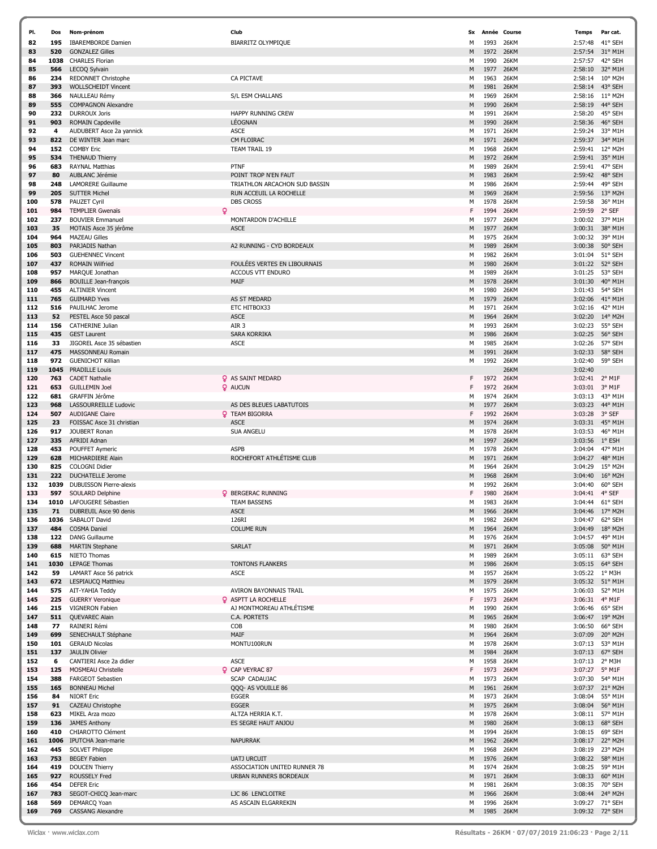| PI.        | Dos         | Nom-prénom                                                 | Club                                    | Sx     |              | Année Course        | <b>Temps</b>       | Par cat.           |
|------------|-------------|------------------------------------------------------------|-----------------------------------------|--------|--------------|---------------------|--------------------|--------------------|
| 82         | 195         | <b>IBAREMBORDE Damien</b>                                  | <b>BIARRITZ OLYMPIQUE</b>               | М      | 1993         | 26KM                | 2:57:48            | 41° SEH            |
| 83         | 520         | <b>GONZALEZ Gilles</b>                                     |                                         | M      | 1972         | 26KM                | 2:57:54            | 31° M1H            |
| 84         | 1038        | <b>CHARLES Florian</b>                                     |                                         | м      | 1990         | <b>26KM</b>         | 2:57:57            | 42° SEH            |
| 85         | 566         | LECOQ Sylvain                                              |                                         | M      | 1977         | 26KM                | 2:58:10            | 32° M1H            |
| 86         | 234         | <b>REDONNET Christophe</b>                                 | CA PICTAVE                              | м      | 1963         | <b>26KM</b>         | 2:58:14            | 10° M2H            |
| 87         | 393         | <b>WOLLSCHEIDT Vincent</b>                                 |                                         | M      | 1981         | 26KM                | 2:58:14            | 43° SEH            |
| 88         | 366         | NAULLEAU Rémy                                              | S/L ESM CHALLANS                        | м      | 1969         | <b>26KM</b>         | 2:58:16            | 11° M2H            |
| 89         | 555         | <b>COMPAGNON Alexandre</b>                                 |                                         | M      | 1990         | 26KM                | 2:58:19            | 44° SEH            |
| 90         | 232         | <b>DURROUX Joris</b>                                       | <b>HAPPY RUNNING CREW</b>               | м      | 1991         | <b>26KM</b>         | 2:58:20            | 45° SEH            |
| 91         | 903         | <b>ROMAIN Capdeville</b>                                   | LÉOGNAN                                 | M      | 1990         | 26KM                | 2:58:36            | 46° SEH            |
| 92         | 4           | AUDUBERT Asce 2a yannick                                   | <b>ASCE</b>                             | м      | 1971         | <b>26KM</b>         | 2:59:24            | 33° M1H            |
| 93         | 822         | DE WINTER Jean marc                                        | CM FLOIRAC                              | M      | 1971         | 26KM                | 2:59:37            | 34° M1H            |
| 94         | 152         | <b>COMBY Eric</b>                                          | <b>TEAM TRAIL 19</b>                    | м      | 1968         | <b>26KM</b>         | 2:59:41            | 12° M2H            |
| 95         | 534         | <b>THENAUD Thierry</b>                                     |                                         | M      | 1972         | 26KM                | 2:59:41            | 35° M1H            |
| 96         | 683         | <b>RAYNAL Matthias</b>                                     | <b>PTNF</b>                             | м      | 1989         | 26KM                | 2:59:41            | 47° SEH            |
| 97         | 80          | AUBLANC Jérémie                                            | POINT TROP N'EN FAUT                    | M      | 1983         | 26KM                | 2:59:42            | 48° SEH            |
| 98         | 248         | <b>LAMORERE Guillaume</b>                                  | TRIATHLON ARCACHON SUD BASSIN           | м      | 1986         | <b>26KM</b>         | 2:59:44            | 49° SEH            |
| 99         | 205         | <b>SUTTER Michel</b>                                       | RUN ACCEUIL LA ROCHELLE                 | M      | 1969         | 26KM                | 2:59:56            | 13° M2H            |
| 100        | 578         | PAUZET Cyril                                               | <b>DBS CROSS</b>                        | м      | 1978         | <b>26KM</b>         | 2:59:58            | 36° M1H            |
| 101        | 984         | 9<br><b>TEMPLIER Gwenaïs</b>                               |                                         | F      | 1994         | <b>26KM</b>         | 2:59:59            | 2° SEF             |
| 102        | 237         | <b>BOUVIER Emmanuel</b>                                    | MONTARDON D'ACHILLE                     | м      | 1977         | <b>26KM</b>         | 3:00:02            | 37° M1H            |
| 103        | 35          | MOTAIS Asce 35 jérôme                                      | <b>ASCE</b>                             | M      | 1977         | 26KM                | 3:00:31            | 38° M1H            |
| 104        | 964         | <b>MAZEAU Gilles</b>                                       |                                         | м      | 1975         | <b>26KM</b>         | 3:00:32            | 39° M1H            |
| 105        | 803         | PARJADIS Nathan                                            | A2 RUNNING - CYD BORDEAUX               | M      | 1989         | 26KM                | 3:00:38            | 50° SEH            |
| 106<br>107 | 503<br>437  | <b>GUEHENNEC Vincent</b><br><b>ROMAIN Wilfried</b>         | FOULÉES VERTES EN LIBOURNAIS            | м<br>M | 1982<br>1980 | <b>26KM</b><br>26KM | 3:01:04<br>3:01:22 | 51° SEH<br>52° SEH |
| 108        | 957         | MARQUE Jonathan                                            | ACCOUS VTT ENDURO                       | м      | 1989         | 26KM                | 3:01:25            | 53° SEH            |
| 109        | 866         | <b>BOUILLE Jean-françois</b>                               | MAIF                                    | M      | 1978         | 26KM                | 3:01:30            | 40° M1H            |
| 110        | 455         | <b>ALTINIER Vincent</b>                                    |                                         | м      | 1980         | 26KM                | 3:01:43            | 54° SEH            |
| 111        | 765         | <b>GUIMARD Yves</b>                                        | AS ST MEDARD                            | M      | 1979         | 26KM                | 3:02:06            | 41° M1H            |
| 112        | 516         | PAUILHAC Jerome                                            | ETC HITBOX33                            | м      | 1971         | <b>26KM</b>         | 3:02:16            | 42° M1H            |
| 113        | 52          | PESTEL Asce 50 pascal                                      | <b>ASCE</b>                             | M      | 1964         | 26KM                | 3:02:20            | 14° M2H            |
| 114        | 156         | <b>CATHERINE Julian</b>                                    | AIR 3                                   | м      | 1993         | <b>26KM</b>         | 3:02:23            | 55° SEH            |
| 115        | 435         | <b>GEST Laurent</b>                                        | <b>SARA KORRIKA</b>                     | М      | 1986         | 26KM                | 3:02:25            | 56° SEH            |
| 116        | 33          | JIGOREL Asce 35 sébastien                                  | <b>ASCE</b>                             | м      | 1985         | 26KM                | 3:02:26            | 57° SEH            |
| 117        | 475         | MASSONNEAU Romain                                          |                                         | M      | 1991         | 26KM                | 3:02:33            | 58° SEH            |
| 118        | 972         | <b>GUENICHOT Killian</b>                                   |                                         | м      | 1992         | 26KM                | 3:02:40            | 59° SEH            |
| 119        | 1045        | <b>PRADILLE Louis</b>                                      |                                         |        |              | 26KM                | 3:02:40            |                    |
| 120        | 763         | <b>CADET Nathalie</b>                                      | <b>Q</b> AS SAINT MEDARD                | F      | 1972         | 26KM                | 3:02:41            | 2° M1F             |
| 121        | 653         | <b>GUILLEMIN Joel</b>                                      | <b>Q</b> AUCUN                          | F      | 1972         | 26KM                | 3:03:01            | 3° M1F             |
| 122        | 681         | GRAFFIN Jérôme                                             |                                         | м      | 1974         | 26KM                | 3:03:13            | 43° M1H            |
| 123        | 968         | LASSOURREILLE Ludovic                                      | AS DES BLEUES LABATUTOIS                | М      | 1977         | 26KM                | 3:03:23            | 44° M1H            |
| 124        | 507         | <b>AUDIGANE Claire</b>                                     | <b>Q</b> TEAM BIGORRA                   | F      | 1992         | <b>26KM</b>         | 3:03:28            | 3° SEF             |
| 125        | 23          | FOISSAC Asce 31 christian                                  | <b>ASCE</b>                             | M      | 1974         | 26KM                | 3:03:31            | 45° M1H            |
| 126        | 917         | JOUBERT Ronan                                              | <b>SUA ANGELU</b>                       | M      | 1978         | <b>26KM</b>         | 3:03:53            | 46° M1H            |
| 127        | 335         | AFRIDI Adnan                                               |                                         | M      | 1997         | 26KM                | 3:03:56            | 1° ESH             |
| 128        | 453         | POUFFET Aymeric                                            | <b>ASPB</b>                             | M      | 1978         | <b>26KM</b>         | 3:04:04            | 47° M1H            |
| 129        | 628         | MICHARDIERE Alain                                          | ROCHEFORT ATHLÉTISME CLUB               | М      | 1971         | 26KM                | 3:04:27            | 48° M1H            |
| 130        | 825         | <b>COLOGNI Didier</b>                                      |                                         | M      | 1964         | <b>26KM</b>         | 3:04:29            | 15° M2H            |
| 131<br>132 | 222<br>1039 | <b>DUCHATELLE Jerome</b><br><b>DUBUISSON Pierre-alexis</b> |                                         | M<br>м | 1968<br>1992 | 26KM<br>26KM        | 3:04:40            | 16° M2H<br>60° SEH |
| 133        | 597         | SOULARD Delphine                                           | <b>Q</b> BERGERAC RUNNING               | F      | 1980         | 26KM                | 3:04:40<br>3:04:41 | 4° SEF             |
| 134        | 1010        | LAFOUGERE Sébastien                                        | <b>TEAM BASSENS</b>                     | м      | 1983         | 26KM                | 3:04:44            | $61^{\circ}$ SEH   |
| 135        | 71          | DUBREUIL Asce 90 denis                                     | <b>ASCE</b>                             | M      | 1966         | 26KM                | 3:04:46            | $17^{\circ}$ M2H   |
| 136        | 1036        | SABALOT David                                              | 126RI                                   | м      | 1982         | 26KM                | 3:04:47            | 62° SEH            |
| 137        | 484         | <b>COSMA Daniel</b>                                        | <b>COLUME RUN</b>                       | M      | 1964         | 26KM                | 3:04:49            | 18° M2H            |
| 138        | 122         | <b>DANG Guillaume</b>                                      |                                         | м      | 1976         | 26KM                | 3:04:57            | 49° M1H            |
| 139        | 688         | <b>MARTIN Stephane</b>                                     | <b>SARLAT</b>                           | M      | 1971         | 26KM                | 3:05:08            | 50° M1H            |
| 140        | 615         | NIETO Thomas                                               |                                         | м      | 1989         | <b>26KM</b>         | 3:05:11            | 63° SEH            |
| 141        | 1030        | <b>LEPAGE Thomas</b>                                       | <b>TONTONS FLANKERS</b>                 | M      | 1986         | 26KM                |                    | 3:05:15 64° SEH    |
| 142        | 59          | LAMART Asce 56 patrick                                     | ASCE                                    | м      | 1957         | <b>26KM</b>         | 3:05:22            | $1^{\circ}$ M3H    |
| 143        | 672         | LESPIAUCQ Matthieu                                         |                                         | M      | 1979         | 26KM                | 3:05:32            | 51° M1H            |
| 144        | 575         | AIT-YAHIA Teddy                                            | AVIRON BAYONNAIS TRAIL                  | м      | 1975         | 26KM                | 3:06:03            | 52° M1H            |
| 145        | 225         | <b>GUERRY Veronique</b>                                    | <b>Q</b> ASPTT LA ROCHELLE              | F      | 1973         | <b>26KM</b>         | 3:06:31            | 4° M1F             |
| 146        | 215         | <b>VIGNERON Fabien</b>                                     | AJ MONTMOREAU ATHLÉTISME                | м      | 1990         | 26KM                | 3:06:46            | 65° SEH            |
| 147        | 511         | QUEVAREC Alain                                             | C.A. PORTETS                            | М      | 1965         | 26KM                | 3:06:47            | 19° M2H            |
| 148        | 77          | RAINERI Rémi                                               | COB                                     | м      | 1980         | 26KM                | 3:06:50            | 66° SEH            |
| 149        | 699         | SENECHAULT Stéphane                                        | MAIF                                    | M      | 1964         | 26KM                | 3:07:09            | 20° M2H            |
| 150        | 101         | <b>GERAUD Nicolas</b>                                      | MONTU100RUN                             | м      | 1978         | 26KM                | 3:07:13            | 53° M1H            |
| 151        | 137         | <b>JAULIN Olivier</b>                                      |                                         | M      | 1984         | 26KM                | 3:07:13            | 67° SEH            |
| 152        | 6           | CANTIERI Asce 2a didier                                    | <b>ASCE</b>                             | м      | 1958         | 26KM                | 3:07:13            | 2° M3H             |
| 153<br>154 | 125<br>388  | <b>MOSMEAU Christelle</b><br><b>FARGEOT Sebastien</b>      | <b>Q</b> CAP VEYRAC 87<br>SCAP CADAUJAC | F<br>м | 1973<br>1973 | <b>26KM</b><br>26KM | 3:07:27<br>3:07:30 | 5° M1F<br>54° M1H  |
| 155        | 165         | <b>BONNEAU Michel</b>                                      | QQQ- AS VOUILLE 86                      | М      | 1961         | 26KM                | 3:07:37            | 21° M2H            |
| 156        | 84          | <b>NIORT Eric</b>                                          | <b>EGGER</b>                            | м      | 1973         | 26KM                | 3:08:04            | 55° M1H            |
| 157        | 91          | CAZEAU Christophe                                          | <b>EGGER</b>                            | M      | 1975         | <b>26KM</b>         | 3:08:04            | 56° M1H            |
| 158        | 623         | MIKEL Arza mozo                                            | ALTZA HERRIA K.T.                       | м      | 1978         | 26KM                | 3:08:11            | 57° M1H            |
| 159        | 136         | <b>JAMES Anthony</b>                                       | ES SEGRE HAUT ANJOU                     | M      | 1980         | 26KM                | 3:08:13            | 68° SEH            |
| 160        | 410         | CHIAROTTO Clément                                          |                                         | м      | 1994         | 26KM                | 3:08:15            | 69° SEH            |
| 161        | 1006        | IPUTCHA Jean-marie                                         | <b>NAPURRAK</b>                         | М      | 1962         | 26KM                | 3:08:17            | 22° M2H            |
| 162        | 445         | <b>SOLVET Philippe</b>                                     |                                         | м      | 1968         | <b>26KM</b>         | 3:08:19            | 23° M2H            |
| 163        | 753         | <b>BEGEY Fabien</b>                                        | <b>UATJ URCUIT</b>                      | М      | 1976         | 26KM                | 3:08:22            | 58° M1H            |
| 164        | 419         | <b>DOUCEN Thierry</b>                                      | ASSOCIATION UNITED RUNNER 78            | м      | 1974         | 26KM                | 3:08:25            | 59° M1H            |
| 165        | 927         | <b>ROUSSELY Fred</b>                                       | URBAN RUNNERS BORDEAUX                  | М      | 1971         | 26KM                |                    | 3:08:33 60° M1H    |
| 166        | 454         | <b>DEFER Eric</b>                                          |                                         | м      | 1981         | 26KM                | 3:08:35            | 70° SEH            |
| 167        | 783         | SEGOT-CHICQ Jean-marc                                      | LJC 86 LENCLOITRE                       | М      | 1966         | <b>26KM</b>         | 3:08:44            | 24° M2H            |
| 168        | 569         | DEMARCQ Yoan                                               | AS ASCAIN ELGARREKIN                    | м      | 1996         | 26KM                | 3:09:27            | 71° SEH            |
| 169        | 769         | <b>CASSANG Alexandre</b>                                   |                                         | М      | 1985         | 26KM                |                    | 3:09:32 72° SEH    |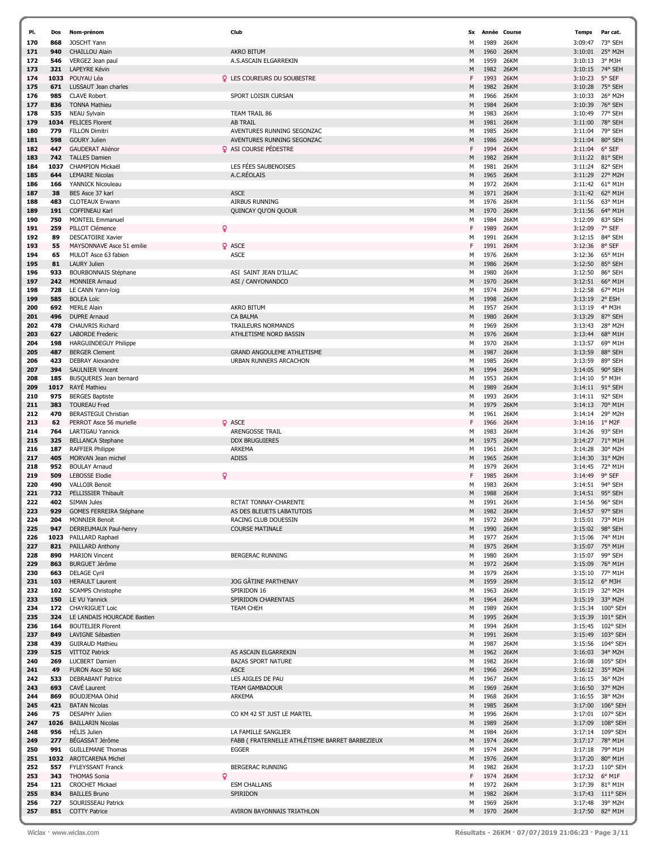| PI. | Dos  | Nom-prénom                   | Club                                            | Sx           | Année | Course      | Temps           | Par cat.          |
|-----|------|------------------------------|-------------------------------------------------|--------------|-------|-------------|-----------------|-------------------|
| 170 | 868  | <b>JOSCHT Yann</b>           |                                                 | М            | 1989  | 26KM        | 3:09:47         | 73° SEH           |
| 171 | 940  | <b>CHAILLOU Alain</b>        | <b>AKRO BITUM</b>                               | M            | 1960  | 26KM        | 3:10:01 25° M2H |                   |
| 172 | 546  | VERGEZ Jean paul             | A.S.ASCAIN ELGARREKIN                           | м            | 1959  | 26KM        | 3:10:13         | 3° M3H            |
|     |      |                              |                                                 |              |       |             |                 |                   |
| 173 | 321  | <b>LAPEYRE Kévin</b>         |                                                 | M            | 1982  | 26KM        | 3:10:15         | 74° SEH           |
| 174 | 1033 | POUYAU Léa                   | <b>Q</b> LES COUREURS DU SOUBESTRE              | F            | 1993  | 26KM        | 3:10:23         | 5° SEF            |
| 175 | 671  | LUSSAUT Jean charles         |                                                 | M            | 1982  | 26KM        | 3:10:28         | 75° SEH           |
| 176 | 985  | <b>CLAVE Robert</b>          | SPORT LOISIR CURSAN                             | м            | 1966  | 26KM        | 3:10:33         | 26° M2H           |
| 177 | 836  | <b>TONNA Mathieu</b>         |                                                 | M            | 1984  | 26KM        | 3:10:39         | 76° SEH           |
| 178 | 535  | <b>NEAU Sylvain</b>          | TEAM TRAIL 86                                   | м            | 1983  | 26KM        | 3:10:49         | 77° SEH           |
|     |      |                              | <b>AB TRAIL</b>                                 |              |       |             |                 | 78° SEH           |
| 179 | 1034 | <b>FELICES Florent</b>       |                                                 | M            | 1981  | 26KM        | 3:11:00         |                   |
| 180 | 779  | <b>FILLON Dimitri</b>        | AVENTURES RUNNING SEGONZAC                      | М            | 1985  | 26KM        | 3:11:04         | 79° SEH           |
| 181 | 598  | <b>GOURY Julien</b>          | AVENTURES RUNNING SEGONZAC                      | M            | 1986  | 26KM        | 3:11:04         | 80° SEH           |
| 182 | 447  | <b>GAUDERAT Aliénor</b>      | <b>Q</b> ASI COURSE PÉDESTRE                    | F            | 1994  | 26KM        | 3:11:04         | 6° SEF            |
| 183 | 742  | <b>TALLES Damien</b>         |                                                 | M            | 1982  | 26KM        | 3:11:22         | 81° SEH           |
|     |      |                              |                                                 |              |       |             |                 |                   |
| 184 | 1037 | <b>CHAMPION Mickaël</b>      | LES FÉES SAUBENOISES                            | М            | 1981  | 26KM        | 3:11:24         | 82° SEH           |
| 185 | 644  | <b>LEMAIRE Nicolas</b>       | A.C.RÉOLAIS                                     | M            | 1965  | <b>26KM</b> | 3:11:29         | 27° M2H           |
| 186 | 166  | YANNICK Nicouleau            |                                                 | м            | 1972  | 26KM        | 3:11:42         | $61^{\circ}$ M1H  |
| 187 | 38   | BES Asce 37 karl             | <b>ASCE</b>                                     | M            | 1971  | 26KM        | 3:11:42         | 62° M1H           |
| 188 | 483  | <b>CLOTEAUX Erwann</b>       | <b>AIRBUS RUNNING</b>                           | М            | 1976  | 26KM        | 3:11:56         | 63° M1H           |
|     |      |                              |                                                 |              |       |             |                 |                   |
| 189 | 191  | <b>COFFINEAU Karl</b>        | QUINCAY QU'ON QUOUR                             | M            | 1970  | 26KM        | 3:11:56         | 64° M1H           |
| 190 | 750  | <b>MONTEIL Emmanuel</b>      |                                                 | М            | 1984  | 26KM        | 3:12:09         | 83° SEH           |
| 191 | 259  | PILLOT Clémence<br>Q         |                                                 | F            | 1989  | 26KM        | 3:12:09         | 7° SEF            |
| 192 | 89   | <b>DESCATOIRE Xavier</b>     |                                                 | М            | 1991  | 26KM        | 3:12:15         | 84° SEH           |
| 193 | 55   | MAYSONNAVE Asce 51 emilie    | <b>Q</b> ASCE                                   | F            | 1991  | 26KM        | 3:12:36         | 8° SEF            |
|     |      |                              |                                                 |              |       |             |                 |                   |
| 194 | 65   | MULOT Asce 63 fabien         | <b>ASCE</b>                                     | М            | 1976  | 26KM        | 3:12:36         | 65° M1H           |
| 195 | 81   | <b>LAURY Julien</b>          |                                                 | M            | 1986  | 26KM        | 3:12:50         | 85° SEH           |
| 196 | 933  | <b>BOURBONNAIS Stéphane</b>  | ASI SAINT JEAN D'ILLAC                          | М            | 1980  | 26KM        | 3:12:50         | 86° SEH           |
| 197 | 242  | <b>MONNIER Arnaud</b>        | ASI / CANYONANDCO                               | M            | 1970  | 26KM        | 3:12:51         | 66° M1H           |
| 198 | 728  | LE CANN Yann-loig            |                                                 | М            | 1974  | 26KM        | 3:12:58         | 67° M1H           |
|     |      |                              |                                                 |              |       |             |                 |                   |
| 199 | 585  | <b>BOLEA Loïc</b>            |                                                 | M            | 1998  | 26KM        | 3:13:19         | 2° ESH            |
| 200 | 692  | <b>MERLE Alain</b>           | <b>AKRO BITUM</b>                               | м            | 1957  | 26KM        | 3:13:19         | 4° M3H            |
| 201 | 496  | <b>DUPRE Arnaud</b>          | <b>CA BALMA</b>                                 | M            | 1980  | <b>26KM</b> | 3:13:29         | 87° SEH           |
| 202 | 478  | <b>CHAUVRIS Richard</b>      | <b>TRAILEURS NORMANDS</b>                       | м            | 1969  | 26KM        | 3:13:43         | 28° M2H           |
| 203 | 627  | <b>LABORDE Frederic</b>      | ATHLETISME NORD BASSIN                          | M            | 1976  | 26KM        | 3:13:44         | 68° M1H           |
|     |      |                              |                                                 |              |       |             |                 |                   |
| 204 | 198  | <b>HARGUINDEGUY Philippe</b> |                                                 | М            | 1970  | 26KM        | 3:13:57         | 69° M1H           |
| 205 | 487  | <b>BERGER Clement</b>        | <b>GRAND ANGOULEME ATHLETISME</b>               | M            | 1987  | 26KM        | 3:13:59         | 88° SEH           |
| 206 | 423  | <b>DEBRAY Alexandre</b>      | URBAN RUNNERS ARCACHON                          | М            | 1985  | <b>26KM</b> | 3:13:59         | 89° SEH           |
| 207 | 394  | <b>SAULNIER Vincent</b>      |                                                 | M            | 1994  | 26KM        | 3:14:05         | 90° SEH           |
| 208 | 185  | BUSQUERES Jean bernard       |                                                 | м            | 1953  | 26KM        | 3:14:10         | 5° M3H            |
|     |      |                              |                                                 |              |       |             |                 |                   |
| 209 | 1017 | <b>RAYE</b> Mathieu          |                                                 | M            | 1989  | 26KM        | 3:14:11 91° SEH |                   |
| 210 | 975  | <b>BERGES Baptiste</b>       |                                                 | м            | 1993  | 26KM        | 3:14:11         | 92° SEH           |
| 211 | 383  | <b>TOUREAU Fred</b>          |                                                 | M            | 1979  | 26KM        | 3:14:13         | 70° M1H           |
| 212 | 470  | <b>BERASTEGUI Christian</b>  |                                                 | M            | 1961  | 26KM        | 3:14:14         | 29° M2H           |
| 213 | 62   | PERROT Asce 56 murielle      | <b>Q</b> ASCE                                   | F            | 1966  | 26KM        | 3:14:16         | $1^{\circ}$ M2F   |
|     |      |                              |                                                 |              |       |             |                 |                   |
| 214 | 764  | LARTIGAU Yannick             | ARENGOSSE TRAIL                                 | М            | 1983  | <b>26KM</b> | 3:14:26         | 93° SEH           |
| 215 | 325  | <b>BELLANCA Stephane</b>     | <b>DDX BRUGUIERES</b>                           | M            | 1975  | <b>26KM</b> | 3:14:27         | 71° M1H           |
| 216 | 187  | <b>RAFFIER Philippe</b>      | ARKEMA                                          | м            | 1961  | 26KM        | 3:14:28         | 30° M2H           |
| 217 | 405  | MORVAN Jean michel           | <b>ADISS</b>                                    | M            | 1965  | 26KM        | 3:14:30         | 31° M2H           |
| 218 | 952  | <b>BOULAY Arnaud</b>         |                                                 | M            | 1979  | 26KM        | 3:14:45         | 72° M1H           |
|     |      |                              |                                                 |              |       |             |                 |                   |
| 219 | 509  | <b>LEBOSSE Elodie</b>        |                                                 | F            | 1985  | 26KM        | 3:14:49         | 9° SEF            |
| 220 | 490  | <b>VALLOIR Benoit</b>        |                                                 | M            | 1983  | 26KM        | 3:14:51         | 94° SEH           |
| 221 | 732  | PELLISSIER Thibault          |                                                 | M            | 1988  | 26KM        | 3:14:51         | 95° SEH           |
| 222 | 402  | <b>SIMAN Jules</b>           | <b>RCTAT TONNAY-CHARENTE</b>                    | M            | 1991  | <b>26KM</b> | 3:14:56         | 96° SEH           |
| 223 | 929  | GOMES FERREIRA Stéphan       | AS DES BLEUETS LABATU'                          |              | 1982  | 26KM        | 3:14:57 97° SEH |                   |
|     |      |                              |                                                 |              |       |             | 3:15:01 73° M1H |                   |
| 224 | 204  | <b>MONNIER Benoit</b>        | RACING CLUB DOUESSIN                            | м            | 1972  | 26KM        |                 |                   |
| 225 | 947  | DERREUMAUX Paul-henry        | <b>COURSE MATINALE</b>                          | M            | 1990  | 26KM        | 3:15:02 98° SEH |                   |
| 226 |      | 1023 PAILLARD Raphael        |                                                 | м            | 1977  | 26KM        | 3:15:06 74° M1H |                   |
| 227 | 821  | PAILLARD Anthony             |                                                 | M            | 1975  | 26KM        | 3:15:07 75° M1H |                   |
| 228 | 890  | <b>MARION Vincent</b>        | BERGERAC RUNNING                                | M            | 1980  | 26KM        | 3:15:07         | 99° SEH           |
| 229 | 863  | <b>BURGUET Jérôme</b>        |                                                 | M            | 1972  | 26KM        | 3:15:09 76° M1H |                   |
|     |      |                              |                                                 |              |       |             |                 |                   |
| 230 | 663  | <b>DELAGE Cyril</b>          |                                                 | м            | 1979  | 26KM        |                 | 3:15:10 77° M1H   |
| 231 | 103  | <b>HERAULT Laurent</b>       | <b>JOG GÂTINE PARTHENAY</b>                     | M            | 1959  | 26KM        | 3:15:12 6° M3H  |                   |
| 232 | 102  | <b>SCAMPS Christophe</b>     | SPIRIDON 16                                     | м            | 1963  | 26KM        | 3:15:19         | 32° M2H           |
| 233 | 150  | LE VU Yannick                | SPIRIDON CHARENTAIS                             | M            | 1964  | 26KM        | 3:15:19 33° M2H |                   |
| 234 |      | 172 CHAYRIGUET Loic          | <b>TEAM CHEH</b>                                | M            | 1989  | 26KM        | 3:15:34         | 100° SEH          |
| 235 | 324  | LE LANDAIS HOURCADE Bastien  |                                                 | M            | 1995  | 26KM        | 3:15:39         | $101^{\circ}$ SEH |
| 236 | 164  | <b>BOUTELIER Florent</b>     |                                                 | м            | 1994  | 26KM        | 3:15:45         | 102° SEH          |
|     |      |                              |                                                 |              |       |             |                 |                   |
| 237 | 849  | LAVIGNE Sébastien            |                                                 | M            | 1991  | 26KM        |                 | 3:15:49 103° SEH  |
| 238 | 439  | <b>GUIRAUD Mathieu</b>       |                                                 | м            | 1987  | <b>26KM</b> |                 | 3:15:56 104° SEH  |
| 239 | 525  | <b>VITTOZ Patrick</b>        | AS ASCAIN ELGARREKIN                            | M            | 1962  | 26KM        | 3:16:03 34° M2H |                   |
| 240 | 269  | <b>LUCBERT Damien</b>        | <b>BAZAS SPORT NATURE</b>                       | м            | 1982  | 26KM        | 3:16:08         | 105° SEH          |
| 241 | 49   | FURON Asce 50 loïc           | <b>ASCE</b>                                     | M            | 1966  | 26KM        | 3:16:12 35° M2H |                   |
|     | 533  | <b>DEBRABANT Patrice</b>     | LES AIGLES DE PAU                               | м            | 1967  | 26KM        | 3:16:15 36° M2H |                   |
| 242 |      |                              |                                                 |              |       |             |                 |                   |
| 243 | 693  | <b>CAVE Laurent</b>          | <b>TEAM GAMBADOUR</b>                           | M            | 1969  | 26KM        | 3:16:50 37° M2H |                   |
| 244 | 869  | BOUDJEMAA Oihid              | ARKEMA                                          | м            | 1968  | 26KM        | 3:16:55         | 38° M2H           |
| 245 | 421  | <b>BATAN Nicolas</b>         |                                                 | M            | 1985  | 26KM        | 3:17:00         | $106^{\circ}$ SEH |
| 246 | 75   | <b>DESAPHY Julien</b>        | CO KM 42 ST JUST LE MARTEL                      | м            | 1996  | 26KM        |                 | 3:17:01 107° SEH  |
| 247 |      | 1026 BAILLARIN Nicolas       |                                                 | M            | 1989  | 26KM        | 3:17:09         | $108°$ SEH        |
|     |      |                              |                                                 |              |       |             |                 |                   |
| 248 | 956  | <b>HELIS Julien</b>          | LA FAMILLE SANGLIER                             | м            | 1984  | 26KM        |                 | 3:17:14 109° SEH  |
| 249 | 277  | BEGASSAT Jérôme              | FABB ( FRATERNELLE ATHLÉTISME BARRET BARBEZIEUX | M            | 1974  | 26KM        | 3:17:17 78° M1H |                   |
| 250 | 991  | <b>GUILLEMANE Thomas</b>     | <b>EGGER</b>                                    | M            | 1974  | 26KM        | 3:17:18 79° M1H |                   |
| 251 |      | 1032 AROTCARENA Michel       |                                                 | M            | 1976  | 26KM        | 3:17:20         | 80° M1H           |
| 252 | 557  | <b>FYLEYSSANT Franck</b>     | <b>BERGERAC RUNNING</b>                         | M            | 1982  | 26KM        | 3:17:23         | $110^{\circ}$ SEH |
|     |      |                              |                                                 |              |       |             |                 |                   |
| 253 | 343  | Q<br><b>THOMAS Sonia</b>     |                                                 | $\mathsf{F}$ | 1974  | 26KM        | 3:17:32 6° M1F  |                   |
| 254 | 121  | <b>CROCHET Mickael</b>       | <b>ESM CHALLANS</b>                             | м            | 1972  | 26KM        | 3:17:39 81° M1H |                   |
| 255 | 834  | <b>BAILLES Bruno</b>         | SPIRIDON                                        | M            | 1982  | 26KM        | 3:17:43         | $111^{\circ}$ SEH |
| 256 | 727  | SOURISSEAU Patrick           |                                                 | м            | 1969  | 26KM        | 3:17:48         | 39° M2H           |
| 257 | 851  | <b>COTTY Patrice</b>         | AVIRON BAYONNAIS TRIATHLON                      | M            | 1970  | 26KM        | 3:17:50         | 82° M1H           |
|     |      |                              |                                                 |              |       |             |                 |                   |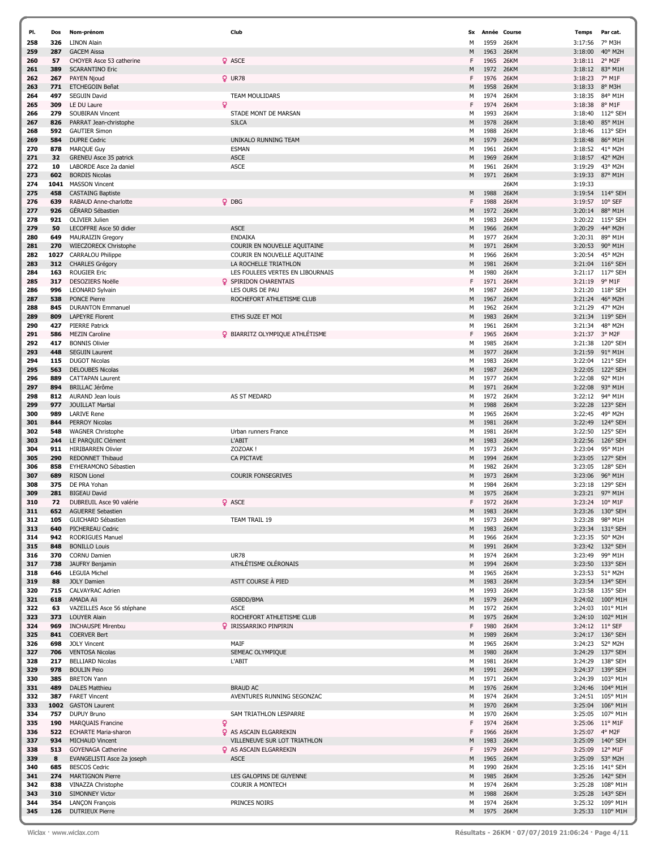| PI. | Dos  | Nom-prénom                    |   | Club                                   | <b>Sx</b> | Année | Course      | <b>Temps</b>    | Par cat.          |
|-----|------|-------------------------------|---|----------------------------------------|-----------|-------|-------------|-----------------|-------------------|
| 258 | 326  | <b>LINON Alain</b>            |   |                                        | М         | 1959  | 26KM        | 3:17:56         | 7° M3H            |
| 259 | 287  | <b>GACEM Aissa</b>            |   |                                        | M         | 1963  | 26KM        | 3:18:00         | 40° M2H           |
| 260 | 57   | CHOYER Asce 53 catherine      |   | <b>Q</b> ASCE                          | F         | 1965  | 26KM        | 3:18:11         | 2° M2F            |
| 261 | 389  | <b>SCARANTINO Eric</b>        |   |                                        | M         | 1972  | 26KM        | 3:18:12         | 83° M1H           |
| 262 | 267  | PAYEN Njoud                   |   | $Q$ UR78                               | F         | 1976  | 26KM        | 3:18:23         | 7° M1F            |
| 263 | 771  | ETCHEGOIN Beñat               |   |                                        | M         | 1958  | 26KM        | 3:18:33         | 8° M3H            |
| 264 | 497  | <b>SEGUIN David</b>           |   | <b>TEAM MOULIDARS</b>                  | М         | 1974  | 26KM        | 3:18:35         | 84° M1H           |
|     | 309  | LE DU Laure                   | ۰ |                                        | F         |       |             |                 |                   |
| 265 |      |                               |   |                                        |           | 1974  | 26KM        | 3:18:38         | 8° M1F            |
| 266 | 279  | SOUBIRAN Vincent              |   | STADE MONT DE MARSAN                   | М         | 1993  | 26KM        | 3:18:40         | 112° SEH          |
| 267 | 826  | PARRAT Jean-christophe        |   | <b>SJLCA</b>                           | M         | 1978  | 26KM        | 3:18:40         | 85° M1H           |
| 268 | 592  | <b>GAUTIER Simon</b>          |   |                                        | м         | 1988  | 26KM        | 3:18:46         | 113° SEH          |
| 269 | 584  | <b>DUPRE Cedric</b>           |   | UNIKALO RUNNING TEAM                   | M         | 1979  | 26KM        | 3:18:48         | 86° M1H           |
| 270 | 878  | <b>MARQUE Guy</b>             |   | <b>ESMAN</b>                           | М         | 1961  | 26KM        | 3:18:52         | 41° M2H           |
| 271 | 32   | <b>GRENEU Asce 35 patrick</b> |   | <b>ASCE</b>                            | M         | 1969  | 26KM        | 3:18:57         | 42° M2H           |
| 272 | 10   | LABORDE Asce 2a daniel        |   | <b>ASCE</b>                            | М         | 1961  | 26KM        | 3:19:29         | 43° M2H           |
| 273 | 602  | <b>BORDIS Nicolas</b>         |   |                                        | M         | 1971  | 26KM        | 3:19:33         | 87° M1H           |
| 274 | 1041 | <b>MASSON Vincent</b>         |   |                                        |           |       | 26KM        | 3:19:33         |                   |
|     |      |                               |   |                                        |           |       |             |                 |                   |
| 275 | 458  | <b>CASTAING Baptiste</b>      |   |                                        | M         | 1988  | 26KM        | 3:19:54         | 114° SEH          |
| 276 | 639  | RABAUD Anne-charlotte         |   | $Q$ DBG                                | F         | 1988  | 26KM        | 3:19:57         | 10° SEF           |
| 277 | 926  | GÉRARD Sébastien              |   |                                        | M         | 1972  | 26KM        | 3:20:14         | 88° M1H           |
| 278 | 921  | OLIVIER Julien                |   |                                        | М         | 1983  | 26KM        | 3:20:22         | $115°$ SEH        |
| 279 | 50   | LECOFFRE Asce 50 didier       |   | <b>ASCE</b>                            | M         | 1966  | 26KM        | 3:20:29         | 44° M2H           |
| 280 | 649  | <b>MAURAIZIN Gregory</b>      |   | <b>ENDAIKA</b>                         | М         | 1977  | 26KM        | 3:20:31         | 89° M1H           |
| 281 | 270  | <b>WIECZORECK Christophe</b>  |   | COURIR EN NOUVELLE AQUITAINE           | M         | 1971  | 26KM        | 3:20:53         | 90° M1H           |
| 282 | 1027 | <b>CARRALOU Philippe</b>      |   | COURIR EN NOUVELLE AQUITAINE           | М         | 1966  | 26KM        | 3:20:54         | 45° M2H           |
| 283 | 312  | <b>CHARLES Grégory</b>        |   | LA ROCHELLE TRIATHLON                  | M         | 1981  | 26KM        | 3:21:04         | 116° SEH          |
| 284 | 163  | <b>ROUGIER Eric</b>           |   | LES FOULEES VERTES EN LIBOURNAIS       | М         | 1980  | 26KM        | 3:21:17         | 117° SEH          |
| 285 | 317  | <b>DESOZIERS Noëlle</b>       |   | <b>Q</b> SPIRIDON CHARENTAIS           | F         | 1971  | 26KM        | 3:21:19         | 9° M1F            |
|     |      |                               |   | LES OURS DE PAU                        |           | 1987  | 26KM        | 3:21:20         | 118° SEH          |
| 286 | 996  | <b>LEONARD Sylvain</b>        |   |                                        | М         |       |             |                 |                   |
| 287 | 538  | PONCE Pierre                  |   | ROCHEFORT ATHLETISME CLUB              | M         | 1967  | 26KM        | 3:21:24         | 46° M2H           |
| 288 | 845  | <b>DURANTON Emmanuel</b>      |   |                                        | М         | 1962  | 26KM        | 3:21:29         | 47° M2H           |
| 289 | 809  | <b>LAPEYRE Florent</b>        |   | ETHS SUZE ET MOI                       | M         | 1983  | 26KM        | 3:21:34         | 119° SEH          |
| 290 | 427  | <b>PIERRE Patrick</b>         |   |                                        | М         | 1961  | 26KM        | 3:21:34         | 48° M2H           |
| 291 | 586  | <b>MEZIN Caroline</b>         |   | <b>Q</b> BIARRITZ OLYMPIQUE ATHLÉTISME | F         | 1965  | 26KM        | 3:21:37         | 3° M2F            |
| 292 | 417  | <b>BONNIS Olivier</b>         |   |                                        | М         | 1985  | 26KM        | 3:21:38         | 120° SEH          |
| 293 | 448  | <b>SEGUIN Laurent</b>         |   |                                        | M         | 1977  | 26KM        | 3:21:59         | 91° M1H           |
| 294 | 115  | <b>DUGOT Nicolas</b>          |   |                                        | м         | 1983  | 26KM        | 3:22:04         | 121° SEH          |
| 295 | 563  | <b>DELOUBES Nicolas</b>       |   |                                        | M         | 1987  | 26KM        | 3:22:05         | 122° SEH          |
| 296 | 889  | <b>CATTAPAN Laurent</b>       |   |                                        | М         | 1977  | 26KM        | 3:22:08         | 92° M1H           |
| 297 | 894  | <b>BRILLAC Jérôme</b>         |   |                                        | M         | 1971  | 26KM        | 3:22:08         | 93° M1H           |
| 298 | 812  | AURAND Jean louis             |   | AS ST MEDARD                           |           | 1972  | 26KM        | 3:22:12         | 94° M1H           |
|     |      |                               |   |                                        | м         |       |             |                 |                   |
| 299 | 977  | <b>JOUILLAT Martial</b>       |   |                                        | M         | 1988  | 26KM        | 3:22:28         | 123° SEH          |
| 300 | 989  | <b>LARIVE Rene</b>            |   |                                        | м         | 1965  | <b>26KM</b> | 3:22:45         | 49° M2H           |
| 301 | 844  | <b>PERROY Nicolas</b>         |   |                                        | M         | 1981  | <b>26KM</b> | 3:22:49         | 124° SEH          |
| 302 | 548  | <b>WAGNER Christophe</b>      |   | Urban runners France                   | М         | 1981  | 26KM        | 3:22:50         | 125° SEH          |
| 303 | 244  | LE PARQUIC Clément            |   | L'ABIT                                 | M         | 1983  | 26KM        | 3:22:56         | 126° SEH          |
| 304 | 911  | <b>HIRIBARREN Olivier</b>     |   | ZOZOAK!                                | М         | 1973  | 26KM        | 3:23:04         | 95° M1H           |
| 305 | 290  | <b>REDONNET Thibaud</b>       |   | CA PICTAVE                             | M         | 1994  | 26KM        | 3:23:05         | 127° SEH          |
| 306 | 858  | EYHERAMONO Sébastien          |   |                                        | м         | 1982  | 26KM        | 3:23:05         | 128° SEH          |
| 307 | 689  | <b>RISON Lionel</b>           |   | <b>COURIR FONSEGRIVES</b>              | M         | 1973  | 26KM        | 3:23:06         | 96° M1H           |
| 308 | 375  | DE PRA Yohan                  |   |                                        | м         | 1984  | <b>26KM</b> | 3:23:18         | 129° SEH          |
| 309 | 281  | <b>BIGEAU David</b>           |   |                                        | M         | 1975  | <b>26KM</b> | 3:23:21         | 97° M1H           |
| 310 | 72   | DUBREUIL Asce 90 valérie      |   | <b>Q</b> ASCE                          | F.        | 1972  | 26KM        | 3:23:24 10° M1F |                   |
|     |      |                               |   |                                        |           |       |             |                 |                   |
| 311 | 652  | <b>AGUERRE Sebastien</b>      |   |                                        | M         | 1983  | 26KM        | 3:23:26         | $130^{\circ}$ SEH |
| 312 | 105  | GUICHARD Sébastien            |   | TEAM TRAIL 19                          | м         | 1973  | 26KM        |                 | 3:23:28 98° M1H   |
| 313 | 640  | PICHEREAU Cedric              |   |                                        | M         | 1983  | 26KM        | 3:23:34         | 131° SEH          |
| 314 | 942  | <b>RODRIGUES Manuel</b>       |   |                                        | м         | 1966  | 26KM        | 3:23:35         | 50° M2H           |
| 315 | 848  | <b>BONILLO Louis</b>          |   |                                        | M         | 1991  | 26KM        |                 | 3:23:42 132° SEH  |
| 316 | 370  | <b>CORNU Damien</b>           |   | <b>UR78</b>                            | м         | 1974  | 26KM        | 3:23:49         | 99° M1H           |
| 317 | 738  | JAUFRY Benjamin               |   | ATHLÉTISME OLÉRONAIS                   | M         | 1994  | 26KM        |                 | 3:23:50 133° SEH  |
| 318 | 646  | <b>LEGUIA Michel</b>          |   |                                        | М         | 1965  | 26KM        |                 | 3:23:53 51° M2H   |
| 319 | 88   | <b>JOLY Damien</b>            |   | ASTT COURSE À PIED                     | M         | 1983  | 26KM        |                 | 3:23:54 134° SEH  |
| 320 | 715  | CALVAYRAC Adrien              |   |                                        | м         | 1993  | 26KM        |                 | 3:23:58 135° SEH  |
| 321 | 618  | AMADA Ali                     |   | GSBDD/BMA                              | M         | 1979  | 26KM        | 3:24:02         | 100° M1H          |
| 322 | 63   | VAZEILLES Asce 56 stéphane    |   | <b>ASCE</b>                            | м         | 1972  | 26KM        |                 | 3:24:03 101° M1H  |
| 323 | 373  | LOUYER Alain                  |   | ROCHEFORT ATHLETISME CLUB              | M         | 1975  | 26KM        |                 | 3:24:10 102° M1H  |
| 324 | 969  | <b>INCHAUSPE Mirentxu</b>     |   | <b>Q</b> IRISSARRIKO PINPIRIN          | F         | 1980  | 26KM        | 3:24:12 11° SEF |                   |
| 325 | 841  | <b>COERVER Bert</b>           |   |                                        | M         | 1989  | 26KM        |                 | 3:24:17 136° SEH  |
| 326 | 698  | <b>JOLY Vincent</b>           |   | MAIF                                   | М         | 1965  | 26KM        | 3:24:23         | 52° M2H           |
| 327 | 706  | <b>VENTOSA Nicolas</b>        |   | SEMEAC OLYMPIQUE                       | M         | 1980  | 26KM        |                 | 3:24:29 137° SEH  |
|     |      |                               |   |                                        |           |       |             |                 |                   |
| 328 | 217  | <b>BELLIARD Nicolas</b>       |   | L'ABIT                                 | М         | 1981  | 26KM        |                 | 3:24:29 138° SEH  |
| 329 | 978  | <b>BOULIN Peio</b>            |   |                                        | M         | 1991  | 26KM        | 3:24:37         | 139° SEH          |
| 330 | 385  | <b>BRETON Yann</b>            |   |                                        | м         | 1971  | 26KM        |                 | 3:24:39 103° M1H  |
| 331 | 489  | <b>DALES Matthieu</b>         |   | <b>BRAUD AC</b>                        | M         | 1976  | 26KM        |                 | 3:24:46 104° M1H  |
| 332 | 387  | <b>FARET Vincent</b>          |   | AVENTURES RUNNING SEGONZAC             | м         | 1974  | 26KM        |                 | 3:24:51 105° M1H  |
| 333 | 1002 | <b>GASTON Laurent</b>         |   |                                        | M         | 1970  | 26KM        | 3:25:04         | 106° M1H          |
| 334 | 757  | <b>DUPUY Bruno</b>            |   | SAM TRIATHLON LESPARRE                 | М         | 1970  | 26KM        | 3:25:05         | 107° M1H          |
| 335 | 190  | <b>MARQUAIS Francine</b>      | Q |                                        |           | 1974  | 26KM        |                 | 3:25:06 11° M1F   |
| 336 | 522  | <b>ECHARTE Maria-sharon</b>   |   | <b>Q</b> AS ASCAIN ELGARREKIN          | F         | 1966  | 26KM        | 3:25:07         | 4° M2F            |
| 337 | 934  | <b>MICHAUD Vincent</b>        |   | VILLENEUVE SUR LOT TRIATHLON           | M         | 1983  | 26KM        | 3:25:09         | 140° SEH          |
| 338 | 513  | <b>GOYENAGA Catherine</b>     |   | <b>Q</b> AS ASCAIN ELGARREKIN          | F         | 1979  | 26KM        | 3:25:09 12° M1F |                   |
| 339 | 8    | EVANGELISTI Asce 2a joseph    |   | <b>ASCE</b>                            | M         | 1965  | 26KM        | 3:25:09         | 53° M2H           |
| 340 | 685  | <b>BESCOS Cedric</b>          |   |                                        |           | 1990  | 26KM        |                 | 3:25:16 141° SEH  |
|     |      |                               |   |                                        | м         |       |             |                 |                   |
| 341 | 274  | <b>MARTIGNON Pierre</b>       |   | LES GALOPINS DE GUYENNE                | M         | 1985  | 26KM        |                 | 3:25:26 142° SEH  |
| 342 | 838  | VINAZZA Christophe            |   | <b>COURIR A MONTECH</b>                | м         | 1974  | 26KM        |                 | 3:25:28 108° M1H  |
| 343 | 310  | <b>SIMONNEY Victor</b>        |   |                                        | M         | 1988  | 26KM        | 3:25:28         | 143° SEH          |
| 344 | 354  | <b>LANÇON François</b>        |   | PRINCES NOIRS                          | м         | 1974  | 26KM        |                 | 3:25:32 109° M1H  |
| 345 | 126  | <b>DUTRIEUX Pierre</b>        |   |                                        | M         | 1975  | 26KM        |                 | 3:25:33 110° M1H  |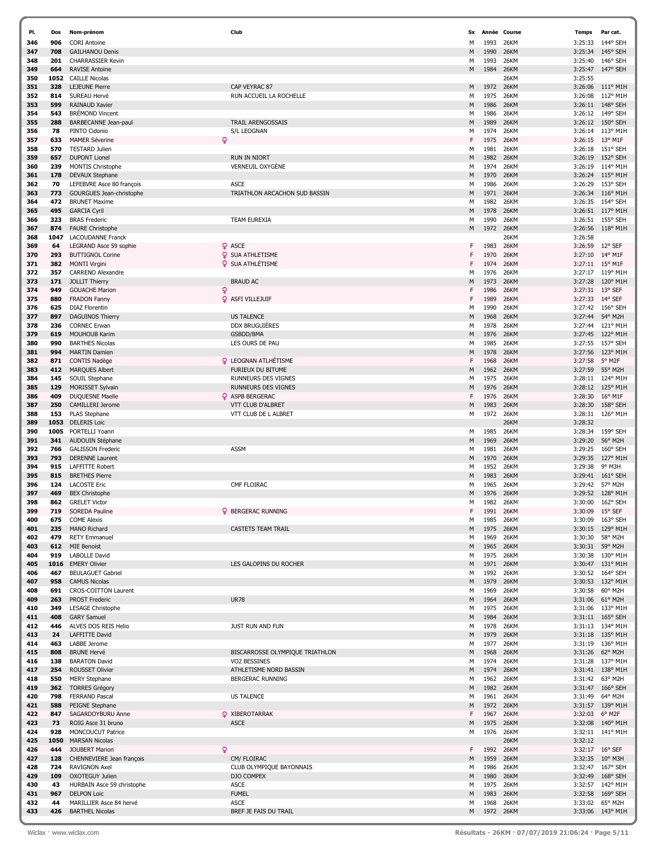| PI. | Dos  | Nom-prénom                  | Club                            | Sx | Année | Course      | <b>Temps</b> | Par cat.          |
|-----|------|-----------------------------|---------------------------------|----|-------|-------------|--------------|-------------------|
| 346 | 906  | <b>CORI Antoine</b>         |                                 | М  | 1993  | 26KM        | 3:25:33      | 144° SEH          |
| 347 | 708  | <b>GAILHANOU Denis</b>      |                                 | M  | 1990  | 26KM        | 3:25:34      | 145° SEH          |
| 348 | 201  | <b>CHARRASSIER Kevin</b>    |                                 | м  | 1993  | <b>26KM</b> | 3:25:40      | 146° SEH          |
|     |      |                             |                                 |    |       |             |              |                   |
| 349 | 664  | <b>RAVISE Antoine</b>       |                                 | M  | 1984  | 26KM        | 3:25:47      | 147° SEH          |
| 350 | 1052 | <b>CAILLE Nicolas</b>       |                                 |    |       | 26KM        | 3:25:55      |                   |
| 351 | 328  | <b>LEJEUNE Pierre</b>       | CAP VEYRAC 87                   | M  | 1972  | 26KM        | 3:26:06      | 111° M1H          |
| 352 | 814  | SUREAU Hervé                | RUN ACCUEIL LA ROCHELLE         | М  | 1975  | 26KM        | 3:26:08      | 112° M1H          |
| 353 | 599  | <b>RAINAUD Xavier</b>       |                                 | M  | 1986  | 26KM        | 3:26:11      | 148° SEH          |
| 354 | 543  | <b>BRÉMOND Vincent</b>      |                                 | М  | 1986  | 26KM        | 3:26:12      | 149° SEH          |
| 355 | 288  | BARBECANNE Jean-paul        | <b>TRAIL ARENGOSSAIS</b>        | M  | 1989  | 26KM        |              | 3:26:12 150° SEH  |
| 356 | 78   | PINTO Cidonio               | <b>S/L LEOGNAN</b>              | м  | 1974  | <b>26KM</b> | 3:26:14      | 113° M1H          |
| 357 | 633  | <b>MAMER Séverine</b>       | Q                               | F  | 1975  | 26KM        |              | 3:26:15 13° M1F   |
| 358 | 570  | <b>TESTARD Julien</b>       |                                 | М  | 1981  | 26KM        | 3:26:18      | 151° SEH          |
| 359 | 657  | <b>DUPONT Lionel</b>        | <b>RUN IN NIORT</b>             | M  | 1982  | 26KM        | 3:26:19      | 152° SEH          |
|     |      |                             |                                 |    |       |             |              | 114° M1H          |
| 360 | 239  | MONTIS Christophe           | <b>VERNEUIL OXYGÈNE</b>         | м  | 1974  | 26KM        | 3:26:19      |                   |
| 361 | 178  | <b>DEVAUX Stephane</b>      |                                 | M  | 1970  | 26KM        | 3:26:24      | 115° M1H          |
| 362 | 70   | LEFEBVRE Asce 80 françois   | <b>ASCE</b>                     | м  | 1986  | 26KM        | 3:26:29      | 153° SEH          |
| 363 | 773  | GOURGUES Jean-christophe    | TRIATHLON ARCACHON SUD BASSIN   | M  | 1971  | 26KM        | 3:26:34      | 116° M1H          |
| 364 | 472  | <b>BRUNET Maxime</b>        |                                 | м  | 1982  | 26KM        | 3:26:35      | 154° SEH          |
| 365 | 495  | <b>GARCIA Cyril</b>         |                                 | M  | 1978  | 26KM        |              | 3:26:51 117° M1H  |
| 366 | 323  | <b>BRAS Frederic</b>        | TEAM EUREXIA                    | М  | 1990  | 26KM        | 3:26:51      | 155° SEH          |
| 367 | 874  | <b>FAURE Christophe</b>     |                                 | M  | 1972  | 26KM        | 3:26:56      | 118° M1H          |
| 368 | 1047 | <b>LACOUDANNE Franck</b>    |                                 |    |       | 26KM        | 3:26:58      |                   |
| 369 | 64   | LEGRAND Asce 59 sophie      | <b>Q</b> ASCE                   | F  | 1983  | 26KM        | 3:26:59      | 12° SEF           |
| 370 | 293  | <b>BUTTIGNOL Corine</b>     | <b>Q</b> SUA ATHLETISME         |    | 1970  | <b>26KM</b> | 3:27:10      | 14° M1F           |
|     |      |                             | <b>Q</b> SUA ATHLÉTISME         |    |       |             |              |                   |
| 371 | 382  | <b>MONTI Virgini</b>        |                                 | F  | 1974  | 26KM        | 3:27:11      | 15° M1F           |
| 372 | 357  | <b>CARRENO Alexandre</b>    |                                 | м  | 1976  | <b>26KM</b> | 3:27:17      | 119° M1H          |
| 373 | 171  | JOLLIT Thierry              | <b>BRAUD AC</b>                 | M  | 1973  | 26KM        | 3:27:28      | 120° M1H          |
| 374 | 949  | <b>GOUACHE Marion</b>       | Q                               | F  | 1986  | 26KM        | 3:27:31      | 13° SEF           |
| 375 | 880  | <b>FRADON Fanny</b>         | <b>Q</b> ASFI VILLEJUIF         | F  | 1989  | 26KM        | 3:27:33      | 14° SEF           |
| 376 | 625  | <b>DIAZ Florentin</b>       |                                 | M  | 1990  | <b>26KM</b> |              | 3:27:42 156° SEH  |
| 377 | 897  | <b>DAGUINOS Thierry</b>     | <b>US TALENCE</b>               | M  | 1968  | 26KM        | 3:27:44      | 54° M2H           |
| 378 | 236  | <b>CORNEC Erwan</b>         | <b>DDX BRUGUIÈRES</b>           | м  | 1978  | 26KM        | 3:27:44      | 121° M1H          |
| 379 | 619  | <b>MOUHOUB Karim</b>        | GSBDD/BMA                       | M  | 1976  | <b>26KM</b> | 3:27:45      | 122° M1H          |
| 380 | 990  | <b>BARTHES Nicolas</b>      | LES OURS DE PAU                 | м  | 1985  | <b>26KM</b> | 3:27:55      | 157° SEH          |
| 381 | 994  | <b>MARTIN Damien</b>        |                                 | M  | 1978  | 26KM        | 3:27:56      | 123° M1H          |
| 382 | 871  | CONTIS Nadège               | <b>Q</b> LEOGNAN ATLHÉTISME     | F  | 1968  | <b>26KM</b> | 3:27:58      | 5° M2F            |
| 383 | 412  |                             | FURIEUX DU BITUME               |    | 1962  | <b>26KM</b> | 3:27:59      | 55° M2H           |
|     |      | <b>MARQUES Albert</b>       |                                 | M  |       |             |              |                   |
| 384 | 145  | SOUIL Stephane              | RUNNEURS DES VIGNES             | м  | 1975  | 26KM        | 3:28:11      | 124° M1H          |
| 385 | 129  | MORISSET Sylvain            | RUNNEURS DES VIGNES             | M  | 1976  | <b>26KM</b> | 3:28:12      | 125° M1H          |
| 386 | 409  | DUQUESNE Maelle             | <b>Q</b> ASPB BERGERAC          | F  | 1976  | 26KM        | 3:28:30      | 16° M1F           |
| 387 | 250  | CAMILLERI Jerome            | VTT CLUB D'ALBRET               | M  | 1983  | 26KM        | 3:28:30      | 158° SEH          |
| 388 | 153  | PLAS Stephane               | VTT CLUB DE L ALBRET            | м  | 1972  | 26KM        | 3:28:31      | 126° M1H          |
| 389 | 1053 | <b>DELERIS Loic</b>         |                                 |    |       | 26KM        | 3:28:32      |                   |
| 390 | 1005 | PORTELLI Yoann              |                                 | м  | 1985  | 26KM        | 3:28:34      | 159° SEH          |
| 391 | 341  | AUDOUIN Stéphane            |                                 | M  | 1969  | <b>26KM</b> | 3:29:20      | 56° M2H           |
| 392 | 766  | <b>GALISSON Frederic</b>    | <b>ASSM</b>                     | м  | 1981  | 26KM        | 3:29:25      | 160° SEH          |
| 393 | 793  | <b>DERENNE Laurent</b>      |                                 | M  | 1970  | 26KM        | 3:29:35      | 127° M1H          |
|     |      |                             |                                 |    |       |             |              | 9° M3H            |
| 394 | 915  | <b>LAFFITTE Robert</b>      |                                 | м  | 1952  | <b>26KM</b> | 3:29:38      |                   |
| 395 | 815  | <b>BRETHES Pierre</b>       |                                 | M  | 1983  | <b>26KM</b> | 3:29:41      | $161^{\circ}$ SEH |
| 396 | 124  | <b>LACOSTE Eric</b>         | CMF FLOIRAC                     | м  | 1965  | <b>26KM</b> | 3:29:42      | 57° M2H           |
| 397 | 469  | <b>BEX Christophe</b>       |                                 | M  | 1976  | <b>26KM</b> | 3:29:52      | 128° M1H          |
| 398 | 862  | <b>GRELET Victor</b>        |                                 | М  | 1982  | <b>26KM</b> | 3:30:00      | 162° SEH          |
| 399 | 719  | SOREDA Pauline              | <b>Q</b> BERGERAC RUNNING       | F  | 1991  | 26KM        | 3:30:09      | 15° SEF           |
| 400 | 675  | <b>COME Alexis</b>          |                                 | м  | 1985  | 26KM        |              | 3:30:09 163° SEH  |
| 401 | 235  | MANO Richard                | <b>CASTETS TEAM TRAIL</b>       | M  | 1975  | 26KM        | 3:30:15      | 129° M1H          |
| 402 | 479  | <b>RETY Emmanuel</b>        |                                 | м  | 1969  | 26KM        | 3:30:30      | 58° M2H           |
| 403 | 612  | <b>MIE Benoist</b>          |                                 | M  | 1965  | 26KM        | 3:30:31      | 59° M2H           |
| 404 | 919  | <b>LABOLLE David</b>        |                                 | м  | 1975  | 26KM        |              | 3:30:38 130° M1H  |
| 405 |      | 1016 EMERY Olivier          | LES GALOPINS DU ROCHER          | M  | 1971  | 26KM        |              | 3:30:47 131° M1H  |
| 406 | 467  | <b>BEULAGUET Gabriel</b>    |                                 | м  | 1992  | 26KM        |              | 3:30:52 164° SEH  |
| 407 | 958  | <b>CAMUS Nicolas</b>        |                                 | M  | 1979  | 26KM        |              | 3:30:53 132° M1H  |
| 408 | 691  | <b>CROS-COITTON Laurent</b> |                                 | м  | 1969  | 26KM        | 3:30:58      | 60° M2H           |
| 409 |      |                             | <b>UR78</b>                     |    |       | 26KM        |              |                   |
|     | 263  | <b>PROST Frederic</b>       |                                 | M  | 1964  |             | 3:31:06      | 61° M2H           |
| 410 | 349  | LESAGE Christophe           |                                 | м  | 1975  | 26KM        |              | 3:31:06 133° M1H  |
| 411 | 408  | <b>GARY Samuel</b>          |                                 | M  | 1984  | 26KM        |              | 3:31:11 165° SEH  |
| 412 | 446  | ALVES DOS REIS Helio        | JUST RUN AND FUN                | м  | 1978  | 26KM        |              | 3:31:13 134° M1H  |
| 413 | 24   | LAFFITTE David              |                                 | M  | 1979  | 26KM        |              | 3:31:18 135° M1H  |
| 414 | 463  | LABBE Jerome                |                                 | м  | 1977  | 26KM        |              | 3:31:19 136° M1H  |
| 415 | 808  | <b>BRUNE Hervé</b>          | BISCARROSSE OLYMPIQUE TRIATHLON | M  | 1968  | 26KM        | 3:31:26      | $62^{\circ}$ M2H  |
| 416 | 138  | <b>BARATON David</b>        | VO2 BESSINES                    | м  | 1974  | 26KM        |              | 3:31:28 137° M1H  |
| 417 | 254  | <b>ROUSSET Olivier</b>      | ATHLETISME NORD BASSIN          | M  | 1974  | 26KM        | 3:31:41      | 138° M1H          |
| 418 | 550  | <b>MERY Stephane</b>        | BERGERAC RUNNING                | м  | 1962  | 26KM        | 3:31:42      | 63° M2H           |
| 419 | 362  | <b>TORRES Grégory</b>       |                                 | M  | 1982  | 26KM        |              | 3:31:47 166° SEH  |
| 420 | 798  | <b>FERRAND Pascal</b>       | <b>US TALENCE</b>               | м  | 1961  | 26KM        | 3:31:49      | 64° M2H           |
| 421 | 588  | PEIGNE Stephane             |                                 | M  | 1972  | 26KM        | 3:31:57      | 139° M1H          |
| 422 | 847  | SAGARDOYBURU Anne           | <b>Q</b> XIBEROTARRAK           | F  | 1967  | 26KM        | 3:32:03      | 6° M2F            |
| 423 | 73   |                             | <b>ASCE</b>                     | M  | 1975  | 26KM        |              | 3:32:08 140° M1H  |
|     |      | ROIG Asce 31 bruno          |                                 |    |       |             |              |                   |
| 424 | 928  | MONCOUCUT Patrice           |                                 | м  | 1976  | 26KM        | 3:32:11      | 141° M1H          |
| 425 | 1050 | <b>MARSAN Nicolas</b>       |                                 |    |       | 26KM        | 3:32:12      |                   |
| 426 | 444  | <b>JOUBERT Marion</b>       | Q                               | F. | 1992  | 26KM        |              | 3:32:17 16° SEF   |
| 427 | 128  | CHENNEVIERE Jean françois   | CM/ FLOIRAC                     | M  | 1959  | 26KM        |              | 3:32:35 10° M3H   |
| 428 | 724  | <b>RAVIGNON Axel</b>        | CLUB OLYMPIQUE BAYONNAIS        | м  | 1986  | 26KM        |              | 3:32:47 167° SEH  |
| 429 | 109  | <b>OXOTEGUY Julien</b>      | DJO COMPEX                      | M  | 1980  | 26KM        |              | 3:32:49 168° SEH  |
| 430 | 43   | HURBAIN Asce 59 christophe  | ASCE                            | м  | 1975  | 26KM        |              | 3:32:57 142° M1H  |
| 431 | 967  | <b>DELPON Loic</b>          | <b>FUMEL</b>                    | M  | 1983  | 26KM        |              | 3:32:58 169° SEH  |
| 432 | 44   | MARILLIER Asce 84 hervé     | <b>ASCE</b>                     | м  | 1968  | 26KM        |              | 3:33:02 65° M2H   |
| 433 | 426  | <b>BARTHEL Nicolas</b>      | BREF JE FAIS DU TRAIL           | M  | 1972  | 26KM        |              | 3:33:06 143° M1H  |
|     |      |                             |                                 |    |       |             |              |                   |

í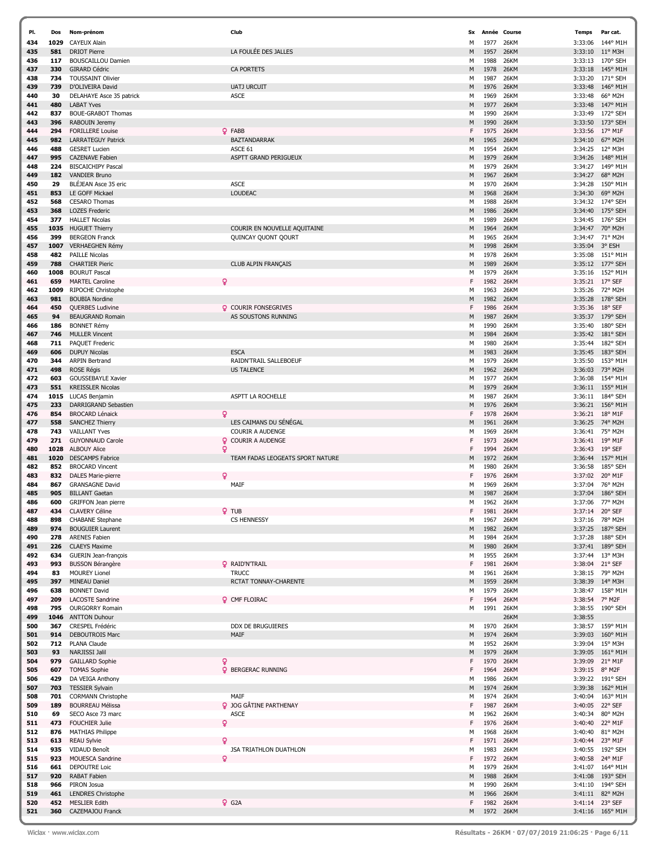| PI.        | Dos         | Nom-prénom                                           | Club                                  | <b>Sx</b> |              | Année Course | Temps              | Par cat.             |
|------------|-------------|------------------------------------------------------|---------------------------------------|-----------|--------------|--------------|--------------------|----------------------|
| 434        | 1029        | <b>CAYEUX Alain</b>                                  |                                       | М         | 1977         | 26KM         | 3:33:06            | 144° M1H             |
| 435        | 581         | <b>DRIOT Pierre</b>                                  | LA FOULÉE DES JALLES                  | M         | 1957         | 26KM         | 3:33:10            | $11^{\circ}$ M3H     |
| 436        | 117         | <b>BOUSCAILLOU Damien</b>                            |                                       | м         | 1988         | 26KM         | 3:33:13            | 170° SEH             |
| 437        | 330         | <b>GIRARD Cédric</b>                                 | <b>CA PORTETS</b>                     | M         | 1978         | 26KM         | 3:33:18            | 145° M1H             |
| 438        | 734<br>739  | <b>TOUSSAINT Olivier</b>                             | <b>UATJ URCUIT</b>                    | м         | 1987         | 26KM         | 3:33:20            | 171° SEH<br>146° M1H |
| 439<br>440 | 30          | D'OLIVEIRA David<br>DELAHAYE Asce 35 patrick         | <b>ASCE</b>                           | M<br>М    | 1976<br>1969 | 26KM<br>26KM | 3:33:48<br>3:33:48 | 66° M2H              |
| 441        | 480         | <b>LABAT Yves</b>                                    |                                       | M         | 1977         | 26KM         | 3:33:48            | 147° M1H             |
| 442        | 837         | <b>BOUE-GRABOT Thomas</b>                            |                                       | М         | 1990         | 26KM         | 3:33:49            | 172° SEH             |
| 443        | 396         | RABOUIN Jeremy                                       |                                       | M         | 1990         | 26KM         | 3:33:50            | 173° SEH             |
| 444        | 294         | <b>FORILLERE Louise</b>                              | <b>Q</b> FABB                         | F         | 1975         | 26KM         | 3:33:56            | 17° M1F              |
| 445        | 982         | <b>LARRATEGUY Patrick</b>                            | <b>BAZTANDARRAK</b>                   | M         | 1965         | 26KM         | 3:34:10            | 67° M2H              |
| 446        | 488         | <b>GESRET Lucien</b>                                 | ASCE 61                               | М         | 1954         | 26KM         | 3:34:25            | 12° M3H              |
| 447        | 995         | <b>CAZENAVE Fabien</b>                               | ASPTT GRAND PERIGUEUX                 | M         | 1979         | 26KM         | 3:34:26            | 148° M1H             |
| 448        | 224         | <b>BISCAICHIPY Pascal</b>                            |                                       | М         | 1979         | 26KM         | 3:34:27            | 149° M1H             |
| 449        | 182         | <b>VANDIER Bruno</b>                                 |                                       | M         | 1967         | 26KM         | 3:34:27            | 68° M2H              |
| 450<br>451 | 29<br>853   | BLÉJEAN Asce 35 eric<br>LE GOFF Mickael              | <b>ASCE</b><br><b>LOUDEAC</b>         | М<br>M    | 1970<br>1968 | 26KM<br>26KM | 3:34:28<br>3:34:30 | 150° M1H<br>69° M2H  |
| 452        | 568         | <b>CESARO Thomas</b>                                 |                                       | м         | 1988         | 26KM         | 3:34:32            | 174° SEH             |
| 453        | 368         | <b>LOZES Frederic</b>                                |                                       | M         | 1986         | 26KM         | 3:34:40            | 175° SEH             |
| 454        | 377         | <b>HALLET Nicolas</b>                                |                                       | м         | 1989         | 26KM         | 3:34:45            | 176° SEH             |
| 455        | 1035        | <b>HUGUET Thierry</b>                                | COURIR EN NOUVELLE AQUITAINE          | M         | 1964         | 26KM         | 3:34:47            | 70° M2H              |
| 456        | 399         | <b>BERGEON Franck</b>                                | QUINCAY QUONT QOURT                   | М         | 1965         | 26KM         | 3:34:47            | 71° M2H              |
| 457        | 1007        | VERHAEGHEN Rémy                                      |                                       | M         | 1998         | 26KM         | 3:35:04            | 3° ESH               |
| 458        | 482         | <b>PAILLE Nicolas</b>                                |                                       | М         | 1978         | 26KM         | 3:35:08            | 151° M1H             |
| 459        | 788         | <b>CHARTIER Pieric</b>                               | <b>CLUB ALPIN FRANÇAIS</b>            | M         | 1989         | 26KM         | 3:35:12            | 177° SEH             |
| 460        | 1008        | <b>BOURUT Pascal</b>                                 | Q                                     | М<br>F    | 1979         | 26KM         | 3:35:16            | 152° M1H<br>17° SEF  |
| 461<br>462 | 659<br>1009 | <b>MARTEL Caroline</b><br><b>RIPOCHE Christophe</b>  |                                       | м         | 1982<br>1963 | 26KM<br>26KM | 3:35:21<br>3:35:26 | 72° M2H              |
| 463        | 981         | <b>BOUBIA Nordine</b>                                |                                       | M         | 1982         | 26KM         | 3:35:28            | 178° SEH             |
| 464        | 450         | QUERBES Ludivine                                     | <b>Q</b> COURIR FONSEGRIVES           | F         | 1986         | 26KM         | 3:35:36            | 18° SEF              |
| 465        | 94          | <b>BEAUGRAND Romain</b>                              | AS SOUSTONS RUNNING                   | M         | 1987         | 26KM         | 3:35:37            | 179° SEH             |
| 466        | 186         | <b>BONNET Rémy</b>                                   |                                       | М         | 1990         | 26KM         | 3:35:40            | 180° SEH             |
| 467        | 746         | <b>MULLER Vincent</b>                                |                                       | M         | 1984         | 26KM         | 3:35:42            | 181° SEH             |
| 468        | 711         | PAQUET Frederic                                      |                                       | м         | 1980         | 26KM         | 3:35:44            | 182° SEH             |
| 469        | 606         | <b>DUPUY Nicolas</b>                                 | <b>ESCA</b>                           | M         | 1983         | 26KM         | 3:35:45            | 183° SEH             |
| 470        | 344         | <b>ARPIN Bertrand</b>                                | RAIDN'TRAIL SALLEBOEUF                | м         | 1979         | 26KM         | 3:35:50            | 153° M1H             |
| 471        | 498<br>603  | <b>ROSE Régis</b><br><b>GOUSSEBAYLE Xavier</b>       | <b>US TALENCE</b>                     | M<br>М    | 1962<br>1977 | 26KM<br>26KM | 3:36:03            | 73° M2H<br>154° M1H  |
| 472<br>473 | 551         | <b>KREISSLER Nicolas</b>                             |                                       | M         | 1979         | 26KM         | 3:36:08<br>3:36:11 | 155° M1H             |
| 474        | 1015        | LUCAS Benjamin                                       | ASPTT LA ROCHELLE                     | м         | 1987         | 26KM         | 3:36:11            | 184° SEH             |
| 475        | 233         | DARRIGRAND Sebastien                                 |                                       | M         | 1976         | 26KM         | 3:36:21            | 156° M1H             |
| 476        | 854         | <b>BROCARD Lénaick</b>                               | Q                                     | F         | 1978         | 26KM         | 3:36:21            | 18° M1F              |
| 477        | 558         | <b>SANCHEZ Thierry</b>                               | LES CAIMANS DU SÉNÉGAL                | M         | 1961         | 26KM         | 3:36:25            | 74° M2H              |
| 478        | 743         | <b>VAILLANT Yves</b>                                 | <b>COURIR A AUDENGE</b>               | м         | 1969         | 26KM         | 3:36:41            | 75° M2H              |
| 479        | 271         | <b>GUYONNAUD Carole</b>                              | Q.<br><b>COURIR A AUDENGE</b>         | F         | 1973         | 26KM         | 3:36:41            | 19° M1F              |
| 480        | 1028        | <b>ALBOUY Alice</b>                                  | Q                                     | F         | 1994         | 26KM         | 3:36:43            | 19° SEF              |
| 481        | 1020        | <b>DESCAMPS Fabrice</b>                              | TEAM FADAS LEOGEATS SPORT NATURE      | M         | 1972         | <b>26KM</b>  | 3:36:44            | 157° M1H             |
| 482<br>483 | 852<br>832  | <b>BROCARD Vincent</b><br><b>DALES Marie-pierre</b>  | Q                                     | м<br>F    | 1980<br>1976 | 26KM<br>26KM | 3:36:58<br>3:37:02 | 185° SEH<br>20° M1F  |
| 484        | 867         | <b>GRANSAGNE David</b>                               | MAIF                                  | м         | 1969         | 26KM         | 3:37:04            | 76° M2H              |
| 485        | 905         | <b>BILLANT Gaetan</b>                                |                                       | M         | 1987         | <b>26KM</b>  | 3:37:04            | 186° SEH             |
| 486        | 600         | <b>GRIFFON Jean pierre</b>                           |                                       | м         | 1962         | <b>26KM</b>  | 3:37:06            | 77° M2H              |
| 487        | 434         | <b>CLAVERY Céline</b>                                | <b>Q</b> TUB                          | F         | 1981         | 26KM         |                    | 3:37:14 20° SEF      |
| 488        | 898         | <b>CHABANE Stephane</b>                              | <b>CS HENNESSY</b>                    | м         | 1967         | 26KM         |                    | 3:37:16 78° M2H      |
| 489        | 974         | <b>BOUGUIER Laurent</b>                              |                                       | M         | 1982         | 26KM         |                    | 3:37:25 187° SEH     |
| 490        | 278         | <b>ARENES Fabien</b>                                 |                                       | м         | 1984         | 26KM<br>26KM | 3:37:28            | 188° SEH<br>189° SEH |
| 491<br>492 | 226<br>634  | <b>CLAEYS Maxime</b><br><b>GUERIN Jean-françois</b>  |                                       | M<br>м    | 1980<br>1955 | 26KM         | 3:37:41<br>3:37:44 | 13° M3H              |
| 493        | 993         | <b>BUSSON Bérangère</b>                              | <b>Q</b> RAID'N'TRAIL                 | F         | 1981         | 26KM         |                    | 3:38:04 21° SEF      |
| 494        | 83          | <b>MOUREY Lionel</b>                                 | <b>TRUCC</b>                          | м         | 1961         | 26KM         |                    | 3:38:15 79° M2H      |
| 495        | 397         | <b>MINEAU Daniel</b>                                 | RCTAT TONNAY-CHARENTE                 | M         | 1959         | 26KM         | 3:38:39            | 14° M3H              |
| 496        | 638         | <b>BONNET David</b>                                  |                                       | М         | 1979         | 26KM         | 3:38:47            | 158° M1H             |
| 497        | 209         | LACOSTE Sandrine                                     | <b>Q</b> CMF FLOIRAC                  | F         | 1964         | 26KM         | 3:38:54 7° M2F     |                      |
| 498        | 795         | <b>OURGORRY Romain</b>                               |                                       | м         | 1991         | 26KM         | 3:38:55            | 190° SEH             |
| 499<br>500 | 1046<br>367 | <b>ANTTON Duhour</b><br><b>CRESPEL Frédéric</b>      | <b>DDX DE BRUGUIERES</b>              | м         | 1970         | 26KM<br>26KM | 3:38:55<br>3:38:57 | 159° M1H             |
| 501        | 914         | <b>DEBOUTROIS Marc</b>                               | MAIF                                  | M         | 1974         | 26KM         | 3:39:03            | $160^{\circ}$ M1H    |
| 502        | 712         | PLANA Claude                                         |                                       | м         | 1952         | 26KM         | 3:39:04            | 15° M3H              |
| 503        | 93          | NARJISSI Jalil                                       |                                       | M         | 1979         | 26KM         | 3:39:05            | 161° M1H             |
| 504        | 979         | <b>GAILLARD Sophie</b>                               | ò                                     | F         | 1970         | 26KM         | 3:39:09            | 21° M1F              |
| 505        | 607         | <b>TOMAS Sophie</b>                                  | <b>Q</b> BERGERAC RUNNING             | F         | 1964         | 26KM         | 3:39:15            | 8° M2F               |
| 506        | 429         | DA VEIGA Anthony                                     |                                       | м         | 1986         | 26KM         |                    | 3:39:22 191° SEH     |
| 507        | 703         | <b>TESSIER Sylvain</b>                               |                                       | M         | 1974         | 26KM         | 3:39:38            | 162° M1H             |
| 508<br>509 | 701<br>189  | <b>CORMANN Christophe</b><br><b>BOURREAU Mélissa</b> | MAIF<br><b>Q</b> JOG GÂTINE PARTHENAY | м<br>F    | 1974<br>1987 | 26KM<br>26KM | 3:40:04<br>3:40:05 | 163° M1H<br>22° SEF  |
| 510        | 69          | SECO Asce 73 marc                                    | <b>ASCE</b>                           | м         | 1962         | 26KM         | 3:40:34            | 80° M2H              |
| 511        | 473         | <b>FOUCHIER Julie</b>                                | Q                                     | F         | 1976         | 26KM         | 3:40:40            | 22° M1F              |
| 512        | 876         | <b>MATHIAS Philippe</b>                              |                                       | М         | 1968         | 26KM         | 3:40:40            | 81° M2H              |
| 513        | 613         | <b>REAU Sylvie</b>                                   | ō                                     |           | 1971         | 26KM         | 3:40:44            | 23° M1F              |
| 514        | 935         | VIDAUD Benoît                                        | JSA TRIATHLON DUATHLON                | М         | 1983         | 26KM         |                    | 3:40:55 192° SEH     |
| 515        | 923         | MOUESCA Sandrine                                     | Q                                     | F         | 1972         | 26KM         | 3:40:58            | 24° M1F              |
| 516        | 661         | <b>DEPOUTRE Loic</b>                                 |                                       | м         | 1979         | 26KM         | 3:41:07            | 164° M1H             |
| 517        | 920         | <b>RABAT Fabien</b>                                  |                                       | M         | 1988         | 26KM         | 3:41:08            | 193° SEH             |
| 518<br>519 | 966<br>461  | PIRON Josua<br><b>LENDRES Christophe</b>             |                                       | м<br>M    | 1990<br>1966 | 26KM<br>26KM | 3:41:10<br>3:41:11 | 194° SEH<br>82° M2H  |
| 520        | 452         | <b>MESLIER Edith</b>                                 | $Q$ G <sub>2</sub> A                  | F         | 1982         | 26KM         | 3:41:14            | 23° SEF              |
| 521        | 360         | CAZEMAJOU Franck                                     |                                       | M         | 1972         | 26KM         |                    | 3:41:16 165° M1H     |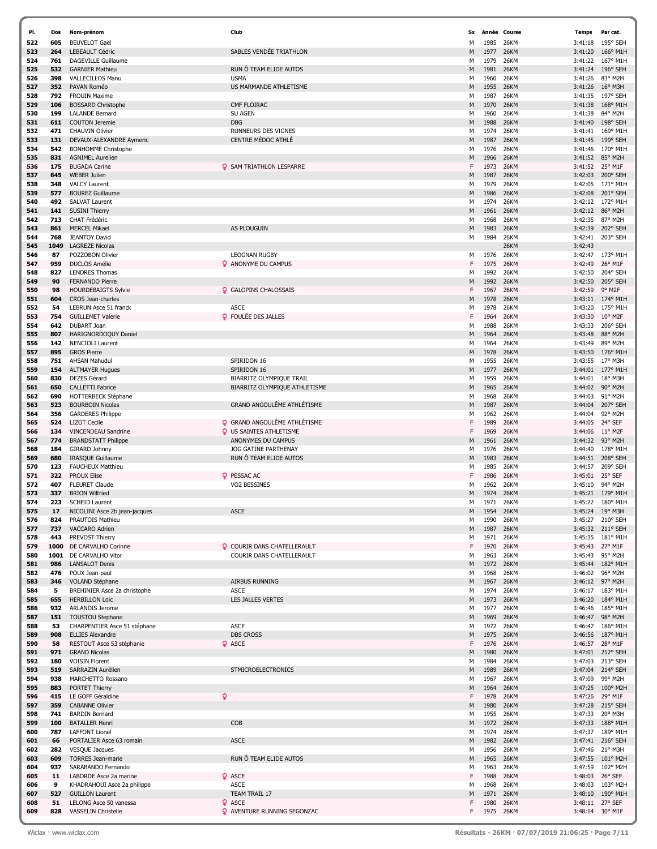| PI. | Dos  | Nom-prénom                    | Club                                | Sx | Année | Course      | <b>Temps</b> | Par cat.         |
|-----|------|-------------------------------|-------------------------------------|----|-------|-------------|--------------|------------------|
| 522 | 605  | <b>BEUVELOT Gaël</b>          |                                     | М  | 1985  | 26KM        | 3:41:18      | 195° SEH         |
| 523 | 264  | <b>LEBEAULT Cédric</b>        | SABLES VENDÉE TRIATHLON             | M  | 1977  | 26KM        | 3:41:20      | 166° M1H         |
| 524 | 761  | <b>DAGEVILLE Guillaume</b>    |                                     | М  | 1979  | 26KM        | 3:41:22      | 167° M1H         |
| 525 | 532  | <b>GARNIER Mathieu</b>        | RUN Ô TEAM ELIDE AUTOS              | M  | 1981  | 26KM        | 3:41:24      | 196° SEH         |
| 526 | 398  | VALLECILLOS Manu              | <b>USMA</b>                         | М  | 1960  | 26KM        | 3:41:26      | 83° M2H          |
| 527 | 352  | PAVAN Roméo                   | US MARMANDE ATHLETISME              | M  | 1955  | 26KM        | 3:41:26      | 16° M3H          |
| 528 | 792  | <b>FROUIN Maxime</b>          |                                     | М  | 1987  | 26KM        | 3:41:35      | 197° SEH         |
| 529 | 106  | <b>BOSSARD Christophe</b>     | CMF FLOIRAC                         | M  | 1970  | 26KM        | 3:41:38      | 168° M1H         |
| 530 | 199  | <b>LALANDE Bernard</b>        | <b>SU AGEN</b>                      | М  |       | 26KM        | 3:41:38      | 84° M2H          |
|     |      |                               |                                     |    | 1960  |             |              |                  |
| 531 | 611  | <b>COUTON Jeremie</b>         | <b>DBG</b>                          | M  | 1988  | 26KM        | 3:41:40      | 198° SEH         |
| 532 | 471  | <b>CHAUVIN Olivier</b>        | RUNNEURS DES VIGNES                 | М  | 1974  | 26KM        | 3:41:41      | 169° M1H         |
| 533 | 131  | DEVAUX-ALEXANDRE Aymeric      | CENTRE MÉDOC ATHLÉ                  | M  | 1987  | 26KM        | 3:41:45      | 199° SEH         |
| 534 | 542  | <b>BONHOMME Christophe</b>    |                                     | М  | 1976  | 26KM        | 3:41:46      | 170° M1H         |
| 535 | 831  | <b>AGNIMEL Aurelien</b>       |                                     | M  | 1966  | 26KM        | 3:41:52      | 85° M2H          |
| 536 | 175  | <b>BUGADA Carine</b>          | <b>Q</b> SAM TRIATHLON LESPARRE     | F  | 1973  | 26KM        | 3:41:52      | 25° M1F          |
| 537 | 645  | <b>WEBER Julien</b>           |                                     | M  | 1987  | 26KM        | 3:42:03      | 200° SEH         |
| 538 | 348  | <b>VALCY Laurent</b>          |                                     | М  | 1979  | 26KM        | 3:42:05      | 171° M1H         |
| 539 | 577  | <b>BOUREZ Guillaume</b>       |                                     | M  | 1986  | 26KM        | 3:42:08      | 201° SEH         |
| 540 | 492  | <b>SALVAT Laurent</b>         |                                     | М  | 1974  | 26KM        | 3:42:12      | 172° M1H         |
| 541 | 141  | <b>SUSINI Thierry</b>         |                                     | M  | 1961  | 26KM        | 3:42:12      | 86° M2H          |
|     |      |                               |                                     |    |       |             |              |                  |
| 542 | 713  | CHAT Frédéric                 |                                     | М  | 1968  | 26KM        | 3:42:35      | 87° M2H          |
| 543 | 861  | <b>MERCEL Mikael</b>          | AS PLOUGUIN                         | M  | 1983  | 26KM        | 3:42:39      | 202° SEH         |
| 544 | 768  | <b>JEANTOY David</b>          |                                     | М  | 1984  | 26KM        | 3:42:41      | 203° SEH         |
| 545 | 1049 | <b>LAGREZE Nicolas</b>        |                                     |    |       | 26KM        | 3:42:43      |                  |
| 546 | 87   | POZZOBON Olivier              | <b>LEOGNAN RUGBY</b>                | м  | 1976  | 26KM        | 3:42:47      | 173° M1H         |
| 547 | 959  | <b>DUCLOS Amélie</b>          | <b>2</b> ANONYME DU CAMPUS          | F  | 1975  | 26KM        | 3:42:49      | 26° M1F          |
| 548 | 827  | <b>LENDRES Thomas</b>         |                                     | М  | 1992  | <b>26KM</b> | 3:42:50      | 204° SEH         |
| 549 | 90   | FERNANDO Pierre               |                                     | M  | 1992  | 26KM        | 3:42:50      | 205° SEH         |
| 550 | 98   | <b>HOURDEBAIGTS Sylvie</b>    | <b>Q</b> GALOPINS CHALOSSAIS        | F  | 1967  | 26KM        | 3:42:59      | 9° M2F           |
| 551 | 604  | CROS Jean-charles             |                                     | М  | 1978  | 26KM        | 3:43:11      | 174° M1H         |
| 552 | 54   | <b>LEBRUN Asce 51 franck</b>  | <b>ASCE</b>                         | М  | 1978  | 26KM        | 3:43:20      | 175° M1H         |
| 553 | 754  | <b>GUILLEMET Valerie</b>      | <b>Q</b> FOULÉE DES JALLES          | F  | 1964  | 26KM        | 3:43:30      | 10° M2F          |
|     |      |                               |                                     |    |       |             |              |                  |
| 554 | 642  | DUBART Joan                   |                                     | М  | 1988  | 26KM        | 3:43:33      | 206° SEH         |
| 555 | 807  | HARIGNORDOQUY Daniel          |                                     | M  | 1964  | 26KM        | 3:43:48      | 88° M2H          |
| 556 | 142  | <b>NENCIOLI Laurent</b>       |                                     | М  | 1964  | 26KM        | 3:43:49      | 89° M2H          |
| 557 | 895  | <b>GROS Pierre</b>            |                                     | M  | 1978  | 26KM        | 3:43:50      | 176° M1H         |
| 558 | 751  | <b>AHSAN Mahudul</b>          | SPIRIDON 16                         | М  | 1955  | 26KM        | 3:43:55      | 17° M3H          |
| 559 | 154  | <b>ALTMAYER Hugues</b>        | SPIRIDON 16                         | M  | 1977  | 26KM        | 3:44:01      | 177° M1H         |
| 560 | 830  | <b>DEZES Gérard</b>           | BIARRITZ OLYMPIQUE TRAIL            | М  | 1959  | 26KM        | 3:44:01      | 18° M3H          |
| 561 | 650  | <b>CALLETTI Fabrice</b>       | BIARRITZ OLYMPIQUE ATHLETISME       | M  | 1965  | 26KM        | 3:44:02      | 90° M2H          |
| 562 | 690  | HOTTERBECK Stéphane           |                                     | М  | 1968  | 26KM        | 3:44:03      | 91° M2H          |
| 563 | 523  | <b>BOURBOIN Nicolas</b>       | <b>GRAND ANGOULÊME ATHLÉTISME</b>   | M  | 1987  | 26KM        | 3:44:04      | 207° SEH         |
| 564 | 356  | <b>GARDERES Philippe</b>      |                                     | М  | 1962  | 26KM        | 3:44:04      | 92° M2H          |
| 565 | 524  | <b>LIZOT Cecile</b>           | <b>Q</b> GRAND ANGOULÊME ATHLÉTISME | F  | 1989  | 26KM        | 3:44:05      | 24° SEF          |
| 566 | 134  | VINCENDEAU Sandrine           | <b>Q</b> US SAINTES ATHLETISME      | F  | 1969  | 26KM        | 3:44:06      | $11^{\circ}$ M2F |
|     |      |                               |                                     |    |       |             |              |                  |
| 567 | 774  | <b>BRANDSTATT Philippe</b>    | ANONYMES DU CAMPUS                  | M  | 1961  | 26KM        | 3:44:32      | 93° M2H          |
| 568 | 184  | GIRARD Johnny                 | <b>JOG GATINE PARTHENAY</b>         | М  | 1976  | 26KM        | 3:44:40      | 178° M1H         |
| 569 | 680  | IRASQUE Guillaume             | RUN Ô TEAM ELIDE AUTOS              | M  | 1983  | 26KM        | 3:44:51      | 208° SEH         |
| 570 | 123  | <b>FAUCHEUX Matthieu</b>      |                                     | м  | 1985  | 26KM        | 3:44:57      | 209° SEH         |
| 571 | 322  | <b>PROUX Elise</b>            | <b>Q</b> PESSAC AC                  | F  | 1986  | 26KM        | 3:45:01      | 25° SEF          |
| 572 | 407  | <b>FLEURET Claude</b>         | VO2 BESSINES                        | М  | 1962  | 26KM        | 3:45:10      | 94° M2H          |
| 573 | 337  | <b>BRION Wilfried</b>         |                                     | M  | 1974  | <b>26KM</b> | 3:45:21      | 179° M1H         |
| 574 | 223  | <b>SCHEID Laurent</b>         |                                     | М  | 1971  | 26KM        | 3:45:22      | 180° M1H         |
| 575 | 17   | NICOLINI Asce 2b jean-jacques | <b>ASCE</b>                         | М  | 1954  | 26KM        | 3:45:24      | 19° M3H          |
| 576 | 824  | PRAUTOIS Mathieu              |                                     | М  | 1990  | 26KM        |              | 3:45:27 210° SEH |
| 577 | 737  | VACCARO Adrien                |                                     | M  | 1987  | 26KM        | 3:45:32      | 211° SEH         |
| 578 | 443  | PREVOST Thierry               |                                     | М  | 1971  | 26KM        |              | 3:45:35 181° M1H |
| 579 | 1000 | DE CARVALHO Corinne           | <b>Q</b> COURIR DANS CHATELLERAULT  | F  | 1970  | 26KM        |              | 3:45:43 27° M1F  |
| 580 | 1001 | DE CARVALHO Vitor             | COURIR DANS CHATELLERAULT           | М  | 1963  | 26KM        | 3:45:43      | 95° M2H          |
| 581 | 986  | <b>LANSALOT Denis</b>         |                                     | M  | 1972  | 26KM        | 3:45:44      | 182° M1H         |
| 582 | 476  | POUX Jean-paul                |                                     | М  | 1968  | 26KM        | 3:46:02      | 96° M2H          |
| 583 | 346  | VOLAND Stéphane               | <b>AIRBUS RUNNING</b>               | M  | 1967  | 26KM        | 3:46:12      | 97° M2H          |
|     |      |                               |                                     |    |       | 26KM        |              | 3:46:17 183° M1H |
| 584 | 5    | BREHINIER Asce 2a christophe  | <b>ASCE</b>                         | М  | 1974  |             |              |                  |
| 585 | 655  | <b>HERBILLON Loic</b>         | <b>LES JALLES VERTES</b>            | M  | 1973  | 26KM        | 3:46:20      | 184° M1H         |
| 586 | 932  | ARLANDIS Jerome               |                                     | м  | 1977  | 26KM        | 3:46:46      | 185° M1H         |
| 587 | 151  | <b>TOUSTOU Stephane</b>       |                                     | М  | 1969  | 26KM        | 3:46:47      | 98° M2H          |
| 588 | 53   | CHARPENTIER Asce 51 stéphane  | <b>ASCE</b>                         | М  | 1972  | 26KM        | 3:46:47      | 186° M1H         |
| 589 | 908  | <b>ELLIES Alexandre</b>       | <b>DBS CROSS</b>                    | M  | 1975  | 26KM        | 3:46:56      | 187° M1H         |
| 590 | 58   | RESTOUT Asce 53 stéphanie     | <b>Q</b> ASCE                       | F  | 1976  | 26KM        | 3:46:57      | 28° M1F          |
| 591 | 971  | <b>GRAND Nicolas</b>          |                                     | M  | 1980  | 26KM        |              | 3:47:01 212° SEH |
| 592 | 180  | <b>VOISIN Florent</b>         |                                     | М  | 1984  | 26KM        |              | 3:47:03 213° SEH |
| 593 | 519  | SARRAZIN Aurélien             | <b>STMICROELECTRONICS</b>           | M  | 1989  | 26KM        | 3:47:04      | 214° SEH         |
| 594 | 938  | MARCHETTO Rossano             |                                     | м  | 1967  | 26KM        | 3:47:09      | 99° M2H          |
| 595 | 883  | PORTET Thierry                |                                     | M  | 1964  | 26KM        |              | 3:47:25 100° M2H |
| 596 | 415  | LE GOFF Géraldine             | ò                                   | F  | 1978  | 26KM        |              | 3:47:26 29° M1F  |
| 597 | 359  | <b>CABANNE Olivier</b>        |                                     | M  | 1980  | 26KM        |              | 3:47:28 215° SEH |
| 598 | 741  | <b>BARDIN Bernard</b>         |                                     | М  | 1955  | 26KM        | 3:47:33      | 20° M3H          |
|     |      |                               | COB                                 |    |       |             |              |                  |
| 599 | 100  | <b>BATALLER Henri</b>         |                                     | M  | 1972  | 26KM        |              | 3:47:33 188° M1H |
| 600 | 787  | <b>LAFFONT Lionel</b>         |                                     | М  | 1974  | 26KM        | 3:47:37      | 189° M1H         |
| 601 | 66   | PORTALIER Asce 63 romain      | ASCE                                | M  | 1982  | 26KM        | 3:47:41      | 216° SEH         |
| 602 | 282  | <b>VESQUE Jacques</b>         |                                     | м  | 1956  | 26KM        |              | 3:47:46 21° M3H  |
| 603 | 609  | <b>TORRES Jean-marie</b>      | RUN Ô TEAM ELIDE AUTOS              | M  | 1965  | 26KM        |              | 3:47:55 101° M2H |
| 604 | 937  | SARABANDO Fernando            |                                     | М  | 1963  | 26KM        | 3:47:59      | 102° M2H         |
| 605 | 11   | LABORDE Asce 2a marine        | <b>Q</b> ASCE                       | F  | 1988  | 26KM        | 3:48:03      | 26° SEF          |
| 606 | 9    | KHADRAHOUI Asce 2a philippe   | <b>ASCE</b>                         | М  | 1968  | 26KM        | 3:48:03      | 103° M2H         |
| 607 | 527  | <b>GUILLON Laurent</b>        | TEAM TRAIL 17                       | M  | 1971  | 26KM        | 3:48:10      | 190° M1H         |
| 608 | 51   | LELONG Asce 50 vanessa        | <b>Q</b> ASCE                       | F  | 1980  | 26KM        |              | 3:48:11 27° SEF  |
| 609 | 828  | VASSELIN Christelle           | <b>Q</b> AVENTURE RUNNING SEGONZAC  | F  | 1975  | 26KM        |              | 3:48:14 30° M1F  |
|     |      |                               |                                     |    |       |             |              |                  |

í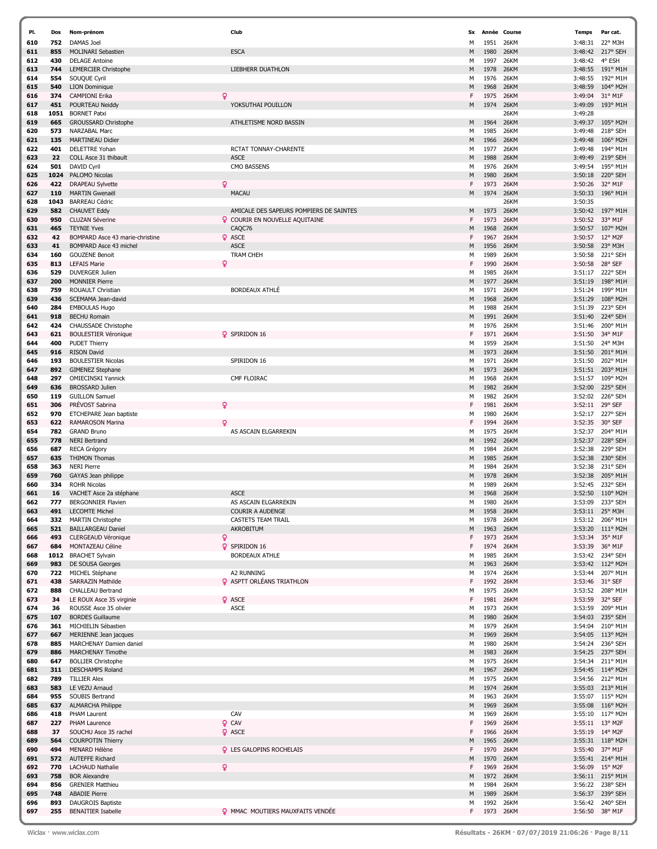| PI.        | Dos        | Nom-prénom                                      | Club                                           | Sx     | Année        | Course                     | Temps                      | Par cat.                              |
|------------|------------|-------------------------------------------------|------------------------------------------------|--------|--------------|----------------------------|----------------------------|---------------------------------------|
| 610        | 752        | DAMAS Joel                                      |                                                | M      | 1951         | 26KM                       | 3:48:31                    | 22° M3H                               |
| 611        | 855        | MOLINARI Sebastien                              | <b>ESCA</b>                                    | M      | 1980         | <b>26KM</b>                | 3:48:42                    | 217° SEH                              |
| 612        | 430        | <b>DELAGE Antoine</b>                           |                                                | м      | 1997         | 26KM                       | 3:48:42                    | 4° ESH                                |
| 613        | 744        | <b>LEMERCIER Christophe</b>                     | LIEBHERR DUATHLON                              | M      | 1978         | <b>26KM</b>                | 3:48:55                    | 191° M1H                              |
| 614        | 554        | SOUQUE Cyril                                    |                                                | м      | 1976         | 26KM                       | 3:48:55                    | 192° M1H                              |
| 615        | 540        | <b>LION Dominique</b>                           |                                                | M      | 1968         | <b>26KM</b>                | 3:48:59                    | 104° M2H                              |
| 616        | 374        | ò<br><b>CAMPIONI Erika</b>                      |                                                | F      | 1975         | 26KM                       | 3:49:04                    | 31° M1F                               |
| 617        | 451        | POURTEAU Neiddy                                 | YOKSUTHAI POUILLON                             | M      | 1974         | 26KM                       | 3:49:09                    | 193° M1H                              |
| 618        | 1051       | <b>BORNET Patxi</b>                             |                                                |        |              | 26KM                       | 3:49:28                    |                                       |
| 619        | 665        | GROUSSARD Christophe                            | ATHLETISME NORD BASSIN                         | M      | 1964         | 26KM                       | 3:49:37                    | 105° M2H                              |
| 620        | 573        | NARZABAL Marc                                   |                                                | м      | 1985         | 26KM                       | 3:49:48                    | 218° SEH                              |
| 621        | 135        | <b>MARTINEAU Didier</b>                         |                                                | M      | 1966         | <b>26KM</b>                | 3:49:48                    | 106° M2H                              |
| 622        | 401        | <b>DELETTRE Yohan</b>                           | RCTAT TONNAY-CHARENTE                          | м      | 1977         | 26KM                       | 3:49:48                    | 194° M1H                              |
| 623        | 22         | COLL Asce 31 thibault                           | <b>ASCE</b>                                    | M      | 1988         | <b>26KM</b>                | 3:49:49                    | 219° SEH                              |
| 624        | 501        | DAVID Cyril                                     | CMO BASSENS                                    | М      | 1976         | 26KM                       | 3:49:54                    | 195° M1H                              |
| 625        | 1024       | PALOMO Nicolas                                  |                                                | M      | 1980         | <b>26KM</b>                | 3:50:18                    | 220° SEH                              |
| 626        | 422        | Q<br><b>DRAPEAU Sylvette</b>                    |                                                | F      | 1973         | 26KM                       | 3:50:26                    | 32° M1F                               |
| 627        | 110        | <b>MARTIN Gwenaël</b>                           | <b>MACAU</b>                                   | M      | 1974         | 26KM                       | 3:50:33                    | 196° M1H                              |
| 628        | 1043       | <b>BARREAU Cédric</b>                           |                                                |        |              | 26KM                       | 3:50:35                    |                                       |
| 629        | 582        | <b>CHAUVET Eddy</b>                             | AMICALE DES SAPEURS POMPIERS DE SAINTES        | M      | 1973         | 26KM                       | 3:50:42                    | 197° M1H                              |
| 630        | 950        | <b>CLUZAN Séverine</b>                          | <b>Q</b> COURIR EN NOUVELLE AQUITAINE          | F      | 1973         | <b>26KM</b>                | 3:50:52                    | 33° M1F                               |
| 631        | 465        | <b>TEYNIE Yves</b>                              | CAQC76                                         | M      | 1968         | <b>26KM</b>                | 3:50:57                    | 107° M2H                              |
| 632        | 42         | BOMPARD Asce 43 marie-christine                 | <b>Q</b> ASCE                                  | F      | 1967         | <b>26KM</b>                | 3:50:57                    | 12° M2F                               |
| 633        | 41         | BOMPARD Asce 43 michel                          | <b>ASCE</b>                                    | M      | 1956         | <b>26KM</b>                | 3:50:58                    | 23° M3H                               |
| 634        | 160        | <b>GOUZENE Benoit</b>                           | <b>TRAM CHEH</b>                               | м      | 1989         | <b>26KM</b>                | 3:50:58                    | 221° SEH                              |
| 635        | 813        | ٥<br><b>LEFAIS Marie</b>                        |                                                | F      | 1990         | <b>26KM</b>                | 3:50:58                    | 28° SEF                               |
| 636        | 529        | <b>DUVERGER Julien</b>                          |                                                | М      | 1985         | <b>26KM</b>                | 3:51:17                    | 222° SEH                              |
| 637        | 200        | <b>MONNIER Pierre</b>                           |                                                | M      | 1977         | <b>26KM</b>                | 3:51:19                    | 198° M1H                              |
| 638        | 759        | ROUAULT Christian                               | <b>BORDEAUX ATHLÉ</b>                          | м      | 1971         | <b>26KM</b>                | 3:51:24                    | 199° M1H                              |
| 639        | 436        | SCEMAMA Jean-david                              |                                                | M      | 1968         | 26KM                       | 3:51:29                    | 108° M2H                              |
| 640        | 284        | <b>EMBOULAS Hugo</b>                            |                                                | М      | 1988         | <b>26KM</b>                | 3:51:39                    | 223° SEH                              |
| 641        | 918        | <b>BECHU Romain</b>                             |                                                | M      | 1991         | <b>26KM</b>                | 3:51:40                    | 224° SEH                              |
| 642        | 424        | CHAUSSADE Christophe                            |                                                | м      | 1976         | 26KM                       | 3:51:46                    | 200° M1H                              |
| 643        | 621        | <b>BOULESTIER Véronique</b>                     | <b>Q</b> SPIRIDON 16                           | F      | 1971         | <b>26KM</b>                | 3:51:50                    | 34° M1F                               |
| 644        | 400        | <b>PUDET Thierry</b>                            |                                                |        | 1959         | <b>26KM</b>                |                            | 24° M3H                               |
|            |            |                                                 |                                                | м      |              |                            | 3:51:50                    |                                       |
| 645<br>646 | 916<br>193 | <b>RISON David</b><br><b>BOULESTIER Nicolas</b> | SPIRIDON 16                                    | M      | 1973<br>1971 | <b>26KM</b><br><b>26KM</b> | 3:51:50<br>3:51:50         | 201° M1H<br>202° M1H                  |
| 647        | 892        |                                                 |                                                | м      |              | <b>26KM</b>                |                            | 203° M1H                              |
|            |            | <b>GIMENEZ Stephane</b>                         |                                                | M      | 1973         |                            | 3:51:51                    |                                       |
| 648        | 297        | <b>OMIECINSKI Yannick</b>                       | CMF FLOIRAC                                    | М      | 1968         | <b>26KM</b>                | 3:51:57                    | 109° M2H                              |
| 649        | 636        | <b>BROSSARD Julien</b>                          |                                                | M      | 1982         | <b>26KM</b>                | 3:52:00                    | 225° SEH                              |
| 650        | 119        | <b>GUILLON Samuel</b>                           |                                                | M      | 1982         | <b>26KM</b>                | 3:52:02                    | 226° SEH                              |
| 651        | 306        | PRÉVOST Sabrina<br>Q                            |                                                | F      | 1981         | <b>26KM</b>                | 3:52:11                    | 29° SEF                               |
| 652        | 970        | ETCHEPARE Jean baptiste                         |                                                | М      | 1980         | <b>26KM</b>                | 3:52:17                    | 227° SEH                              |
| 653        | 622        | RAMAROSON Marina                                |                                                | F      | 1994         | <b>26KM</b>                | 3:52:35                    | 30° SEF                               |
| 654        | 782        | <b>GRAND Bruno</b>                              | AS ASCAIN ELGARREKIN                           | м      | 1975         | <b>26KM</b>                | 3:52:37                    | 204° M1H                              |
| 655        | 778        | <b>NERI Bertrand</b>                            |                                                | M      | 1992         | <b>26KM</b>                | 3:52:37                    | 228° SEH                              |
| 656        | 687        | RECA Grégory                                    |                                                | M      | 1984         | <b>26KM</b>                | 3:52:38                    | 229° SEH                              |
| 657        | 635        | <b>THIMON Thomas</b>                            |                                                | M      | 1985         | <b>26KM</b>                | 3:52:38                    | 230° SEH                              |
| 658        | 363        | <b>NERI Pierre</b>                              |                                                | м      | 1984         | <b>26KM</b>                | 3:52:38                    | 231° SEH                              |
| 659        | 760        | GAYAS Jean philippe                             |                                                | M      | 1978         | 26KM                       | 3:52:38                    | 205° M1H                              |
| 660        | 334        | <b>ROHR Nicolas</b>                             |                                                | M      | 1989         | 26KM                       | 3:52:45                    | 232° SEH                              |
| 661        | 16         | VACHET Asce 2a stéphane                         | <b>ASCE</b>                                    | M      | 1968         | 26KM                       | 3:52:50                    | 110° M2H                              |
| 662        | 777        | <b>BERGONNIER Flavien</b>                       | AS ASCAIN ELGARREKIN                           | м      | 1980         | <b>26KM</b>                | 3:53:09                    | 233° SEH                              |
| 663        | 491        | <b>LECOMTE Michel</b>                           | <b>COURIR A AUDENGE</b>                        | M      | 1958         | 26KM                       | 3:53:11                    | 25° M3H                               |
| 664        | 332        | <b>MARTIN Christophe</b>                        | CASTETS TEAM TRAIL                             | М      | 1978         | 26KM                       |                            | 3:53:12 206° M1H                      |
| 665        | 521        | <b>BAILLARGEAU Daniel</b>                       | AKROBITUM                                      | M      | 1963         | 26KM                       | 3:53:20                    | 111° M2H                              |
| 666        | 493        | ó<br>CLERGEAUD Véronique                        | <b>Q</b> SPIRIDON 16                           | F      | 1973         | 26KM                       | 3:53:34                    | 35° M1F                               |
| 667        | 684        | MONTAZEAU Céline                                | <b>BORDEAUX ATHLE</b>                          | F      | 1974         | 26KM                       | 3:53:39                    | 36° M1F                               |
| 668        | 1012       | <b>BRACHET Sylvain</b>                          |                                                | М      | 1985         | 26KM                       | 3:53:42                    | 234° SEH                              |
| 669        | 983        | DE SOUSA Georges                                |                                                | M      | 1963         | 26KM                       |                            | 3:53:42 112° M2H                      |
| 670        | 722<br>438 | MICHEL Stéphane<br><b>SARRAZIN Mathilde</b>     | A2 RUNNING<br><b>Q</b> ASPTT ORLÉANS TRIATHLON | м<br>F | 1974         | 26KM                       | 3:53:44                    | 207° M1H                              |
| 671<br>672 | 888        | CHALLEAU Bertrand                               |                                                | м      | 1992<br>1975 | 26KM<br>26KM               | 3:53:46 31° SEF<br>3:53:52 | 208° M1H                              |
| 673        |            | LE ROUX Asce 35 virginie                        | <b>Q</b> ASCE                                  | F      | 1981         | 26KM                       | 3:53:59                    | 32° SEF                               |
| 674        | 34<br>36   | ROUSSE Asce 35 olivier                          | <b>ASCE</b>                                    | м      | 1973         | 26KM                       | 3:53:59                    | 209° M1H                              |
| 675        | 107        | <b>BORDES Guillaume</b>                         |                                                | M      | 1980         | 26KM                       | 3:54:03                    | 235° SEH                              |
|            |            |                                                 |                                                |        |              |                            |                            |                                       |
| 676        | 361<br>667 | MICHIELIN Sébastien                             |                                                | м      | 1979         | 26KM<br>26KM               | 3:54:04                    | 210° M1H                              |
| 677        | 885        | MERIENNE Jean jacques                           |                                                | M      | 1969         |                            |                            | 3:54:05 113° M2H                      |
| 678        | 886        | MARCHENAY Damien daniel<br>MARCHENAY Timothe    |                                                | М      | 1980<br>1983 | 26KM<br>26KM               | 3:54:24<br>3:54:25         | 236° SEH<br>237° SEH                  |
| 679<br>680 | 647        | <b>BOLLIER Christophe</b>                       |                                                | M<br>м | 1975         | 26KM                       | 3:54:34                    | 211° M1H                              |
|            |            |                                                 |                                                |        |              |                            |                            |                                       |
| 681<br>682 | 311<br>789 | <b>DESCHAMPS Roland</b><br><b>TILLIER Alex</b>  |                                                | M<br>м | 1967<br>1975 | 26KM<br>26KM               | 3:54:45<br>3:54:56         | 114° M2H<br>212° M1H                  |
| 683        | 583        | LE VEZU Arnaud                                  |                                                | M      | 1974         | 26KM                       | 3:55:03                    | 213° M1H                              |
| 684        |            |                                                 |                                                |        | 1963         |                            |                            |                                       |
| 685        | 955<br>637 | SOUBIS Bertrand<br><b>ALMARCHA Philippe</b>     |                                                | м<br>M | 1969         | 26KM<br>26KM               | 3:55:08                    | 3:55:07 115° M2H<br>$116^{\circ}$ M2H |
| 686        | 418        | PHAM Laurent                                    | CAV                                            | М      | 1969         | 26KM                       | 3:55:10                    | 117° M2H                              |
| 687        | 227        | PHAM Laurence                                   | Q CAV                                          | F      | 1969         | 26KM                       |                            | 3:55:11 13° M2F                       |
|            |            |                                                 |                                                |        |              |                            |                            |                                       |
| 688        | 37         | SOUCHU Asce 35 rachel                           | <b>Q</b> ASCE                                  | F      | 1966         | 26KM                       | 3:55:19                    | $14^{\circ}$ M2F                      |
| 689<br>690 | 564<br>494 | <b>COURPOTIN Thierry</b><br>MENARD Hélène       | <b>Q</b> LES GALOPINS ROCHELAIS                | M<br>F | 1965<br>1970 | 26KM<br>26KM               | 3:55:31<br>3:55:40         | $118^{\circ}$ M2H<br>37° M1F          |
| 691        | 572        | <b>AUTEFFE Richard</b>                          |                                                | M      | 1970         | 26KM                       |                            | 3:55:41 214° M1H                      |
| 692        | 770        | Q.<br><b>LACHAUD Nathalie</b>                   |                                                | F      | 1969         | 26KM                       | 3:56:09                    | 15° M2F                               |
| 693        | 758        | <b>BOR Alexandre</b>                            |                                                | M      | 1972         | 26KM                       |                            | 3:56:11 215° M1H                      |
| 694        | 856        | <b>GRENIER Matthieu</b>                         |                                                | м      | 1984         | 26KM                       | 3:56:22                    | 238° SEH                              |
| 695        | 748        | <b>ABADIE Pierre</b>                            |                                                | M      | 1989         | 26KM                       | 3:56:37                    | 239° SEH                              |
| 696        | 893        | <b>DAUGROIS Baptiste</b>                        |                                                | М      | 1992         | 26KM                       | 3:56:42                    | 240° SEH                              |
| 697        | 255        | <b>BENAITIER Isabelle</b>                       | <b>Q</b> MMAC MOUTIERS MAUXFAITS VENDÉE        | F      | 1973         | 26KM                       |                            | 3:56:50 38° M1F                       |
|            |            |                                                 |                                                |        |              |                            |                            |                                       |

7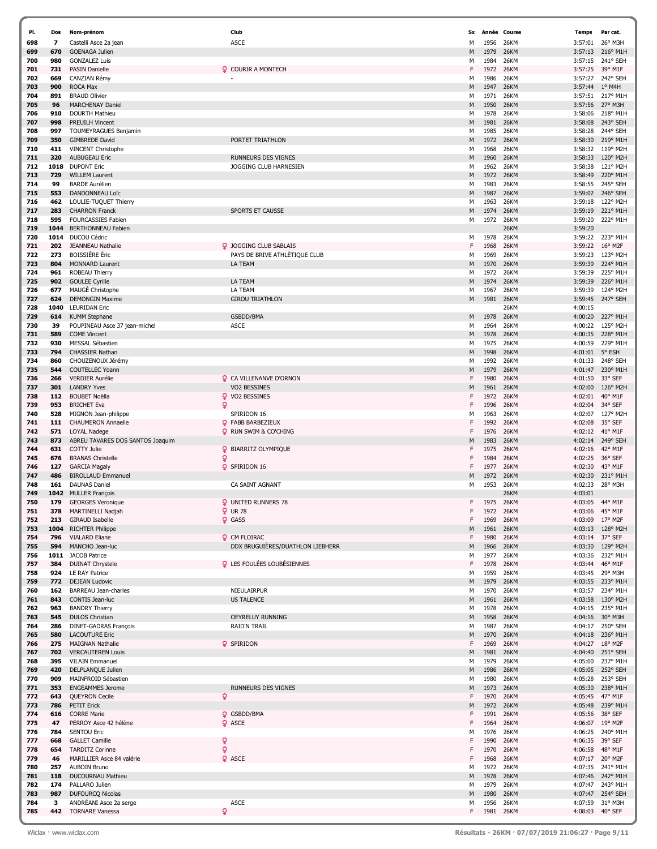| PI. | Dos  | Nom-prénom                       | Club                              | Sx | Année | Course      | <b>Temps</b> | Par cat.         |
|-----|------|----------------------------------|-----------------------------------|----|-------|-------------|--------------|------------------|
| 698 | 7    | Castelli Asce 2a jean            | <b>ASCE</b>                       | м  | 1956  | 26KM        | 3:57:01      | 26° M3H          |
| 699 | 670  | <b>GOENAGA Julien</b>            |                                   | M  | 1979  | 26KM        | 3:57:13      | 216° M1H         |
| 700 | 980  | <b>GONZALEZ Luis</b>             |                                   | м  | 1984  | 26KM        | 3:57:15      | 241° SEH         |
| 701 | 731  | <b>PASIN Danielle</b>            | <b>Q</b> COURIR A MONTECH         | F  | 1972  | <b>26KM</b> | 3:57:25      | 39° M1F          |
| 702 | 669  | CANZIAN Rémy                     |                                   | м  | 1986  | 26KM        | 3:57:27      | 242° SEH         |
| 703 | 900  | <b>ROCA Max</b>                  |                                   | М  | 1947  | <b>26KM</b> | 3:57:44      | $1^{\circ}$ M4H  |
| 704 | 891  | <b>BRAUD Olivier</b>             |                                   | м  | 1971  | 26KM        | 3:57:51      | 217° M1H         |
| 705 | 96   | <b>MARCHENAY Daniel</b>          |                                   | M  | 1950  | 26KM        | 3:57:56      | 27° M3H          |
|     |      | <b>DOURTH Mathieu</b>            |                                   |    | 1978  | 26KM        | 3:58:06      | 218° M1H         |
| 706 | 910  |                                  |                                   | м  |       |             |              |                  |
| 707 | 998  | <b>PREUILH Vincent</b>           |                                   | М  | 1981  | 26KM        | 3:58:08      | 243° SEH         |
| 708 | 997  | TOUMEYRAGUES Benjamin            |                                   | м  | 1985  | 26KM        | 3:58:28      | 244° SEH         |
| 709 | 350  | <b>GIMBREDE David</b>            | PORTET TRIATHLON                  | М  | 1972  | <b>26KM</b> | 3:58:30      | 219° M1H         |
| 710 | 411  | <b>VINCENT Christophe</b>        |                                   | м  | 1968  | 26KM        | 3:58:32      | 119° M2H         |
| 711 | 320  | <b>AUBUGEAU Eric</b>             | <b>RUNNEURS DES VIGNES</b>        | М  | 1960  | <b>26KM</b> | 3:58:33      | 120° M2H         |
| 712 | 1018 | <b>DUPONT Eric</b>               | JOGGING CLUB HARNESIEN            | м  | 1962  | 26KM        | 3:58:38      | 121° M2H         |
| 713 | 729  | <b>WILLEM Laurent</b>            |                                   | M  | 1972  | <b>26KM</b> | 3:58:49      | 220° M1H         |
| 714 | 99   | <b>BARDE Aurélien</b>            |                                   | М  | 1983  | 26KM        | 3:58:55      | 245° SEH         |
| 715 | 553  | DANDONNEAU Loïc                  |                                   | М  | 1987  | 26KM        | 3:59:02      | 246° SEH         |
| 716 | 462  | LOULIE-TUQUET Thierry            |                                   | м  | 1963  | <b>26KM</b> | 3:59:18      | 122° M2H         |
|     | 283  | <b>CHARRON Franck</b>            | SPORTS ET CAUSSE                  | M  | 1974  | <b>26KM</b> | 3:59:19      | 221° M1H         |
| 717 |      |                                  |                                   |    |       |             |              |                  |
| 718 | 595  | <b>FOURCASSIES Fabien</b>        |                                   | М  | 1972  | 26KM        | 3:59:20      | 222° M1H         |
| 719 | 1044 | <b>BERTHONNEAU Fabien</b>        |                                   |    |       | 26KM        | 3:59:20      |                  |
| 720 | 1014 | <b>DUCOU Cédric</b>              |                                   | М  | 1978  | 26KM        | 3:59:22      | 223° M1H         |
| 721 | 202  | JEANNEAU Nathalie                | 2 JOGGING CLUB SABLAIS            | F  | 1968  | <b>26KM</b> | 3:59:22      | 16° M2F          |
| 722 | 273  | <b>BOISSIÈRE</b> Éric            | PAYS DE BRIVE ATHLÈTIQUE CLUB     | м  | 1969  | 26KM        | 3:59:23      | 123° M2H         |
| 723 | 804  | <b>MONNARD Laurent</b>           | LA TEAM                           | М  | 1970  | 26KM        | 3:59:39      | 224° M1H         |
| 724 | 961  | ROBEAU Thierry                   |                                   | м  | 1972  | <b>26KM</b> | 3:59:39      | 225° M1H         |
| 725 | 902  | <b>GOULEE Cyrille</b>            | LA TEAM                           | M  | 1974  | <b>26KM</b> | 3:59:39      | 226° M1H         |
| 726 | 677  | MAUGÉ Christophe                 | LA TEAM                           | м  | 1967  | <b>26KM</b> | 3:59:39      | 124° M2H         |
| 727 | 624  | <b>DEMONGIN Maxime</b>           | <b>GIROU TRIATHLON</b>            | м  | 1981  | 26KM        | 3:59:45      | 247° SEH         |
| 728 | 1040 | <b>LEURIDAN Eric</b>             |                                   |    |       | 26KM        | 4:00:15      |                  |
| 729 |      |                                  |                                   | M  | 1978  | 26KM        | 4:00:20      | 227° M1H         |
|     | 614  | <b>KUMM Stephane</b>             | GSBDD/BMA                         |    |       |             |              |                  |
| 730 | 39   | POUPINEAU Asce 37 jean-michel    | <b>ASCE</b>                       | м  | 1964  | 26KM        | 4:00:22      | 125° M2H         |
| 731 | 589  | <b>COME Vincent</b>              |                                   | М  | 1978  | <b>26KM</b> | 4:00:35      | 228° M1H         |
| 732 | 930  | MESSAL Sébastien                 |                                   | м  | 1975  | 26KM        | 4:00:59      | 229° M1H         |
| 733 | 794  | <b>CHASSIER Nathan</b>           |                                   | M  | 1998  | <b>26KM</b> | 4:01:01      | 5° ESH           |
| 734 | 860  | CHOUZENOUX Jérémy                |                                   | м  | 1992  | 26KM        | 4:01:33      | 248° SEH         |
| 735 | 544  | <b>COUTELLEC Yoann</b>           |                                   | М  | 1979  | 26KM        | 4:01:47      | 230° M1H         |
| 736 | 266  | <b>VERDIER Aurélie</b>           | <b>Q</b> CA VILLENANVE D'ORNON    | F  | 1980  | 26KM        | 4:01:50      | 33° SEF          |
| 737 | 301  | <b>LANDRY Yves</b>               | <b>VO2 BESSINES</b>               | M  | 1961  | 26KM        | 4:02:00      | 126° M2H         |
| 738 | 112  | <b>BOUBET Noëlla</b>             | <b>Q</b> VO2 BESSINES             | F  | 1972  | 26KM        | 4:02:01      | 40° M1F          |
| 739 | 953  | <b>BRICHET Eva</b>               | ö                                 | F  | 1996  | <b>26KM</b> | 4:02:04      | 34° SEF          |
| 740 | 528  |                                  | SPIRIDON 16                       |    | 1963  | <b>26KM</b> | 4:02:07      | 127° M2H         |
|     |      | MIGNON Jean-philippe             |                                   | м  |       |             |              |                  |
| 741 | 111  | <b>CHAUMERON Annaelle</b>        | <b>Q</b> FABB BARBEZIEUX          |    | 1992  | <b>26KM</b> | 4:02:08      | 35° SEF          |
| 742 | 571  | <b>LOYAL Nadege</b>              | <b>Q</b> RUN SWIM & CO'CHING      | F  | 1976  | 26KM        | 4:02:12      | 41° M1F          |
| 743 | 873  | ABREU TAVARES DOS SANTOS Joaquim |                                   | M  | 1983  | 26KM        | 4:02:14      | 249° SEH         |
| 744 | 631  | COTTY Julie                      | <b>Q</b> BIARRITZ OLYMPIQUE       |    | 1975  | 26KM        | 4:02:16      | 42° M1F          |
| 745 | 676  | <b>BRANAS Christelle</b>         | ö                                 |    | 1984  | <b>26KM</b> | 4:02:25      | 36° SEF          |
| 746 | 127  | <b>GARCIA Magaly</b>             | <b>Q</b> SPIRIDON 16              | F  | 1977  | 26KM        | 4:02:30      | 43° M1F          |
| 747 | 486  | <b>BIROLLAUD Emmanuel</b>        |                                   | М  | 1972  | 26KM        | 4:02:30      | 231° M1H         |
| 748 | 161  | <b>DAUNAS Daniel</b>             | CA SAINT AGNANT                   | м  | 1953  | 26KM        | 4:02:33      | 28° M3H          |
| 749 | 1042 | <b>MULLER François</b>           |                                   |    |       | 26KM        | 4:03:01      |                  |
| 750 | 179  | <b>GEORGES Veronique</b>         | <b>Q</b> UNITED RUNNERS 78        | F. | 1975  | 26KM        | 4:03:05      | 44° M1F          |
| 751 | 378  | MARTINELLI Nadjah                | $Q$ UR 78                         |    | 1972  | 26KM        | 4:03:06      | 45° M1F          |
| 752 | 213  | <b>GIRAUD Isabelle</b>           | <b>Q</b> GASS                     | F  | 1969  | 26KM        |              | 4:03:09 17° M2F  |
|     |      |                                  |                                   |    |       |             |              |                  |
| 753 | 1004 | <b>RICHTER Philippe</b>          |                                   | М  | 1961  | 26KM        | 4:03:13      | 128° M2H         |
| 754 | 796  | <b>VIALARD Eliane</b>            | <b>Q</b> CM FLOIRAC               | F  | 1980  | 26KM        | 4:03:14      | 37° SEF          |
| 755 | 594  | MANCHO Jean-luc                  | DDX BRUGUIÈRES/DUATHLON LIEBHERR  | М  | 1966  | 26KM        |              | 4:03:30 129° M2H |
| 756 | 1011 | <b>JACOB Patrice</b>             |                                   | м  | 1977  | 26KM        | 4:03:36      | 232° M1H         |
| 757 | 384  | <b>DUINAT Chrystele</b>          | <b>Q</b> LES FOULÉES LOUBÉSIENNES | F  | 1978  | 26KM        | 4:03:44      | 46° M1F          |
| 758 | 924  | LE RAY Patrice                   |                                   | М  | 1959  | 26KM        |              | 4:03:45 29° M3H  |
| 759 | 772  | <b>DEJEAN Ludovic</b>            |                                   | М  | 1979  | 26KM        |              | 4:03:55 233° M1H |
| 760 | 162  | BARREAU Jean-charles             | NIEULAIRPUR                       | М  | 1970  | 26KM        | 4:03:57      | 234° M1H         |
| 761 | 843  | CONTIS Jean-luc                  | <b>US TALENCE</b>                 | М  | 1961  | 26KM        | 4:03:58      | 130° M2H         |
| 762 | 963  | <b>BANDRY Thierry</b>            |                                   | М  | 1978  | 26KM        |              | 4:04:15 235° M1H |
| 763 | 545  | <b>DULOS Christian</b>           | OEYRELUY RUNNING                  | М  | 1958  | 26KM        |              | 4:04:16 30° M3H  |
| 764 | 286  | DINET-GADRAS François            | <b>RAID'N TRAIL</b>               | М  | 1987  | 26KM        | 4:04:17      | 250° SEH         |
| 765 | 580  | <b>LACOUTURE Eric</b>            |                                   | М  | 1970  | 26KM        | 4:04:18      | 236° M1H         |
| 766 | 275  | <b>MAIGNAN Nathalie</b>          | <b>Q</b> SPIRIDON                 | F  | 1969  | 26KM        |              | 4:04:27 18° M2F  |
| 767 | 702  | <b>VERCAUTEREN Louis</b>         |                                   | М  | 1981  | 26KM        | 4:04:40      | 251° SEH         |
| 768 | 395  | <b>VILAIN Emmanuel</b>           |                                   | М  | 1979  | 26KM        | 4:05:00      | 237° M1H         |
| 769 | 420  |                                  |                                   |    | 1986  | 26KM        |              |                  |
|     |      | DELPLANQUE Julien                |                                   | М  |       |             | 4:05:05      | 252° SEH         |
| 770 | 909  | MAINFROID Sébastien              |                                   | М  | 1980  | 26KM        | 4:05:28      | 253° SEH         |
| 771 | 353  | <b>ENGEAMMES Jerome</b>          | RUNNEURS DES VIGNES               | М  | 1973  | 26KM        |              | 4:05:30 238° M1H |
| 772 | 643  | <b>QUEYRON Cecile</b>            | Q                                 | F  | 1970  | 26KM        | 4:05:45      | 47° M1F          |
| 773 | 786  | PETIT Erick                      |                                   | М  | 1972  | 26KM        | 4:05:48      | 239° M1H         |
| 774 | 616  | <b>CORRE Marie</b>               | <b>Q</b> GSBDD/BMA                | F  | 1991  | 26KM        | 4:05:56      | 38° SEF          |
| 775 | 47   | PERROY Asce 42 hélène            | <b>Q</b> ASCE                     | F  | 1964  | 26KM        | 4:06:07      | 19° M2F          |
| 776 | 784  | <b>SENTOU Eric</b>               |                                   | м  | 1976  | 26KM        | 4:06:25      | 240° M1H         |
| 777 | 668  | <b>GALLET Camille</b>            | ò                                 | F  | 1990  | 26KM        | 4:06:35      | 39° SEF          |
| 778 | 654  | <b>TARDITZ Corinne</b>           | Q                                 | F  | 1970  | 26KM        | 4:06:58      | 48° M1F          |
| 779 | 46   | MARILLIER Asce 84 valérie        | <b>Q</b> ASCE                     | F  | 1968  | 26KM        |              | 4:07:17 20° M2F  |
| 780 | 257  | AUBOIN Bruno                     |                                   | М  | 1972  | 26KM        | 4:07:35      | 241° M1H         |
| 781 | 118  | DUCOURNAU Mathieu                |                                   | М  | 1978  | 26KM        |              | 4:07:46 242° M1H |
| 782 | 174  | PALLARO Julien                   |                                   | М  | 1979  | 26KM        | 4:07:47      | 243° M1H         |
| 783 | 987  | <b>DUFOURCQ Nicolas</b>          |                                   | М  | 1980  | 26KM        | 4:07:47      | 254° SEH         |
|     | з    | ANDRÉANI Asce 2a serge           | <b>ASCE</b>                       | м  |       |             |              |                  |
| 784 |      |                                  |                                   |    | 1956  | 26KM        | 4:07:59      | 31° M3H          |
| 785 | 442  | <b>TORNARE Vanessa</b>           | ó                                 | F  | 1981  | 26KM        | 4:08:03      | 40° SEF          |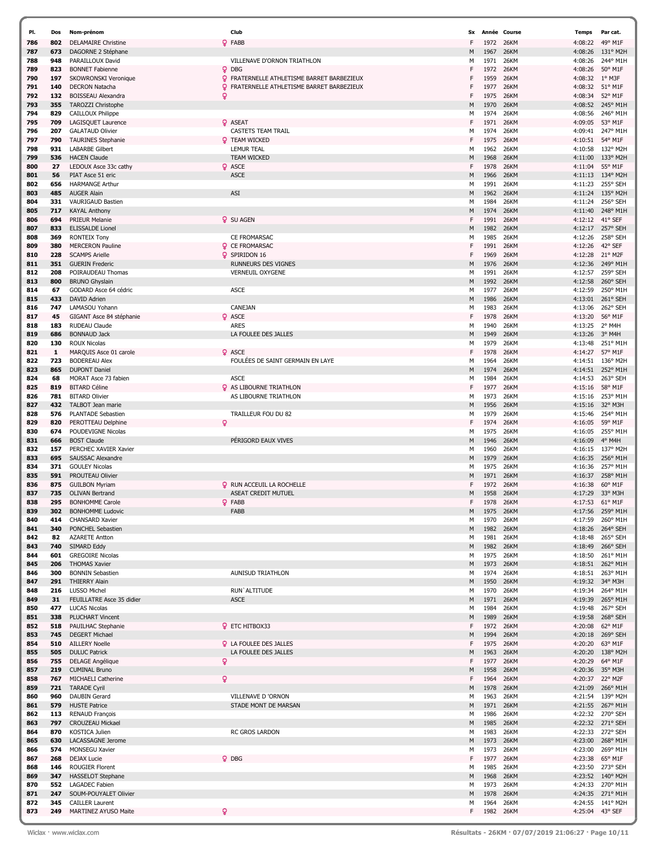| PI. | Dos | Nom-prénom                 | Club                                              | Sx |      | Année Course | <b>Temps</b> | Par cat.         |
|-----|-----|----------------------------|---------------------------------------------------|----|------|--------------|--------------|------------------|
| 786 | 802 | <b>DELAMAIRE Christine</b> | Q FABB                                            | F  | 1972 | 26KM         | 4:08:22      | 49° M1F          |
| 787 | 673 | DAGORNE 2 Stéphane         |                                                   | M  | 1967 | 26KM         | 4:08:26      | 131° M2H         |
| 788 | 948 | PARAILLOUX David           | VILLENAVE D'ORNON TRIATHLON                       | М  | 1971 | 26KM         | 4:08:26      | 244° M1H         |
| 789 | 823 | <b>BONNET Fabienne</b>     | Q DBG                                             | F  | 1972 | <b>26KM</b>  | 4:08:26      | 50° M1F          |
| 790 | 197 | SKOWRONSKI Veronique       | <b>Q</b> FRATERNELLE ATHLETISME BARRET BARBEZIEUX | F  | 1959 | <b>26KM</b>  | 4:08:32      | $1^{\circ}$ M3F  |
| 791 | 140 | <b>DECRON Natacha</b>      | Q.<br>FRATERNELLE ATHLETISME BARRET BARBEZIEUX    | F  | 1977 | <b>26KM</b>  | 4:08:32      | 51° M1F          |
|     | 132 |                            |                                                   | F  | 1975 |              |              | 52° M1F          |
| 792 |     | BOISSEAU Alexandra         | ó                                                 |    |      | 26KM         | 4:08:34      |                  |
| 793 | 355 | <b>TAROZZI Christophe</b>  |                                                   | М  | 1970 | 26KM         | 4:08:52      | 245° M1H         |
| 794 | 829 | CAILLOUX Philippe          |                                                   | М  | 1974 | 26KM         | 4:08:56      | 246° M1H         |
| 795 | 709 | LAGISQUET Laurence         | <b>Q</b> ASEAT                                    | F  | 1971 | 26KM         | 4:09:05      | 53° M1F          |
| 796 | 207 | <b>GALATAUD Olivier</b>    | <b>CASTETS TEAM TRAIL</b>                         | М  | 1974 | <b>26KM</b>  | 4:09:41      | 247° M1H         |
| 797 | 790 | <b>TAURINES Stephanie</b>  | <b>Q</b> TEAM WICKED                              | F  | 1975 | <b>26KM</b>  | 4:10:51      | 54° M1F          |
| 798 | 931 | <b>LABARBE Gilbert</b>     | <b>LEMUR TEAL</b>                                 | М  | 1962 | <b>26KM</b>  | 4:10:58      | 132° M2H         |
| 799 | 536 | <b>HACEN Claude</b>        | <b>TEAM WICKED</b>                                | M  | 1968 | 26KM         | 4:11:00      | 133° M2H         |
| 800 | 27  | LEDOUX Asce 33c cathy      | <b>Q</b> ASCE                                     | F  | 1978 | <b>26KM</b>  | 4:11:04      | 55° M1F          |
| 801 | 56  | PIAT Asce 51 eric          | <b>ASCE</b>                                       | M  | 1966 | 26KM         | 4:11:13      | 134° M2H         |
| 802 | 656 | <b>HARMANGE Arthur</b>     |                                                   | М  | 1991 | <b>26KM</b>  | 4:11:23      | 255° SEH         |
| 803 | 485 | <b>AUGER Alain</b>         | ASI                                               | M  | 1962 | 26KM         | 4:11:24      | 135° M2H         |
| 804 | 331 | VAURIGAUD Bastien          |                                                   | М  | 1984 | <b>26KM</b>  | 4:11:24      | 256° SEH         |
| 805 | 717 | <b>KAYAL Anthony</b>       |                                                   | M  | 1974 | 26KM         | 4:11:40      | 248° M1H         |
| 806 | 694 | <b>PRIEUR Melanie</b>      | <b>Q</b> SU AGEN                                  | F  | 1991 | <b>26KM</b>  | 4:12:12      | 41° SEF          |
| 807 | 833 | <b>ELISSALDE Lionel</b>    |                                                   | M  | 1982 | 26KM         | 4:12:17      | 257° SEH         |
| 808 | 369 | <b>RONTEIX Tony</b>        | CE FROMARSAC                                      | М  | 1985 | 26KM         | 4:12:26      | 258° SEH         |
|     |     |                            |                                                   | F  |      |              |              |                  |
| 809 | 380 | <b>MERCERON Pauline</b>    | <b>Q</b> CE FROMARSAC                             |    | 1991 | 26KM         | 4:12:26      | 42° SEF          |
| 810 | 228 | <b>SCAMPS Arielle</b>      | <b>Q</b> SPIRIDON 16                              | F  | 1969 | 26KM         | 4:12:28      | 21° M2F          |
| 811 | 351 | <b>GUERIN Frederic</b>     | RUNNEURS DES VIGNES                               | M  | 1976 | 26KM         | 4:12:36      | 249° M1H         |
| 812 | 208 | POIRAUDEAU Thomas          | <b>VERNEUIL OXYGENE</b>                           | М  | 1991 | 26KM         | 4:12:57      | 259° SEH         |
| 813 | 800 | <b>BRUNO Ghyslain</b>      |                                                   | M  | 1992 | 26KM         | 4:12:58      | 260° SEH         |
| 814 | 67  | GODARD Asce 64 cédric      | <b>ASCE</b>                                       | М  | 1977 | <b>26KM</b>  | 4:12:59      | 250° M1H         |
| 815 | 433 | <b>DAVID Adrien</b>        |                                                   | M  | 1986 | 26KM         | 4:13:01      | 261° SEH         |
| 816 | 747 | LAMASOU Yohann             | CANEJAN                                           | М  | 1983 | <b>26KM</b>  | 4:13:06      | 262° SEH         |
| 817 | 45  | GIGANT Asce 84 stéphanie   | <b>Q</b> ASCE                                     | F  | 1978 | 26KM         | 4:13:20      | 56° M1F          |
| 818 | 183 | <b>RUDEAU Claude</b>       | <b>ARES</b>                                       | М  | 1940 | <b>26KM</b>  | 4:13:25      | 2° M4H           |
| 819 | 686 | <b>BONNAUD Jack</b>        | LA FOULEE DES JALLES                              | М  | 1949 | 26KM         | 4:13:26      | 3° M4H           |
| 820 | 130 | <b>ROUX Nicolas</b>        |                                                   | М  | 1979 | <b>26KM</b>  | 4:13:48      | 251° M1H         |
| 821 | 1   | MARQUIS Asce 01 carole     | <b>Q</b> ASCE                                     | F  | 1978 | 26KM         | 4:14:27      | 57° M1F          |
| 822 | 723 | <b>BODEREAU Alex</b>       | FOULEES DE SAINT GERMAIN EN LAYE                  | М  | 1964 | 26KM         | 4:14:51      | 136° M2H         |
|     |     |                            |                                                   |    |      |              |              |                  |
| 823 | 865 | <b>DUPONT Daniel</b>       |                                                   | M  | 1974 | 26KM         | 4:14:51      | 252° M1H         |
| 824 | 68  | MORAT Asce 73 fabien       | <b>ASCE</b>                                       | М  | 1984 | <b>26KM</b>  | 4:14:53      | 263° SEH         |
| 825 | 819 | <b>BITARD Céline</b>       | <b>Q</b> AS LIBOURNE TRIATHLON                    | F  | 1977 | 26KM         | 4:15:16      | 58° M1F          |
| 826 | 781 | <b>BITARD Olivier</b>      | AS LIBOURNE TRIATHLON                             | М  | 1973 | 26KM         | 4:15:16      | 253° M1H         |
| 827 | 432 | TALBOT Jean marie          |                                                   | М  | 1956 | 26KM         | 4:15:16      | 32° M3H          |
| 828 | 576 | PLANTADE Sebastien         | TRAILLEUR FOU DU 82                               | М  | 1979 | 26KM         | 4:15:46      | 254° M1H         |
| 829 | 820 | PEROTTEAU Delphine         | ò                                                 | F  | 1974 | 26KM         | 4:16:05      | 59° M1F          |
| 830 | 674 | POUDEVIGNE Nicolas         |                                                   | М  | 1975 | <b>26KM</b>  | 4:16:05      | 255° M1H         |
| 831 | 666 | <b>BOST Claude</b>         | PÉRIGORD EAUX VIVES                               | M  | 1946 | 26KM         | 4:16:09      | 4° M4H           |
| 832 | 157 | PERCHEC XAVIER Xavier      |                                                   | М  | 1960 | 26KM         | 4:16:15      | 137° M2H         |
| 833 | 695 | SAUSSAC Alexandre          |                                                   | M  | 1979 | 26KM         | 4:16:35      | 256° M1H         |
| 834 | 371 | <b>GOULEY Nicolas</b>      |                                                   | М  | 1975 | 26KM         | 4:16:36      | 257° M1H         |
| 835 | 591 | PROUTEAU Olivier           |                                                   | М  | 1971 | 26KM         | 4:16:37      | 258° M1H         |
| 836 | 875 | <b>GUILBON Myriam</b>      | <b>Q</b> RUN ACCEUIL LA ROCHELLE                  | F  | 1972 | 26KM         | 4:16:38      | 60° M1F          |
| 837 | 735 | <b>OLIVAN Bertrand</b>     | <b>ASEAT CREDIT MUTUEL</b>                        | M  | 1958 | 26KM         | 4:17:29      | 33° M3H          |
| 838 | 295 | <b>BONHOMME Carole</b>     | <b>Q</b> FABB                                     | F  | 1978 | <b>26KM</b>  | 4:17:53      | $61^{\circ}$ M1F |
| 839 | 302 | <b>BONHOMME Ludovic</b>    | FABB                                              | M  | 1975 | 26KM         | 4:17:56      | 259° M1H         |
| 840 | 414 | <b>CHANSARD Xavier</b>     |                                                   | М  | 1970 | 26KM         | 4:17:59      | 260° M1H         |
| 841 | 340 | PONCHEL Sebastien          |                                                   | M  | 1982 | 26KM         | 4:18:26      | 264° SEH         |
|     |     | <b>AZARETE Antton</b>      |                                                   |    |      | 26KM         |              |                  |
| 842 | 82  |                            |                                                   | м  | 1981 |              | 4:18:48      | 265° SEH         |
| 843 | 740 | SIMARD Eddy                |                                                   | M  | 1982 | 26KM         | 4:18:49      | 266° SEH         |
| 844 | 601 | <b>GREGOIRE Nicolas</b>    |                                                   | м  | 1975 | 26KM         | 4:18:50      | 261° M1H         |
| 845 | 206 | <b>THOMAS Xavier</b>       |                                                   | M  | 1973 | 26KM         | 4:18:51      | 262° M1H         |
| 846 | 300 | <b>BONNIN Sebastien</b>    | <b>AUNISUD TRIATHLON</b>                          | м  | 1974 | <b>26KM</b>  | 4:18:51      | 263° M1H         |
| 847 | 291 | <b>THIERRY Alain</b>       |                                                   | M  | 1950 | 26KM         | 4:19:32      | 34° M3H          |
| 848 | 216 | LUSSO Michel               | RUN'ALTITUDE                                      | М  | 1970 | 26KM         | 4:19:34      | 264° M1H         |
| 849 | 31  | FEUILLATRE Asce 35 didier  | <b>ASCE</b>                                       | М  | 1971 | 26KM         | 4:19:39      | 265° M1H         |
| 850 | 477 | <b>LUCAS Nicolas</b>       |                                                   | м  | 1984 | 26KM         | 4:19:48      | 267° SEH         |
| 851 | 338 | PLUCHART Vincent           |                                                   | M  | 1989 | 26KM         | 4:19:58      | 268° SEH         |
| 852 | 518 | PAUILHAC Stephanie         | <b>Q</b> ETC HITBOX33                             | F  | 1972 | <b>26KM</b>  | 4:20:08      | 62° M1F          |
| 853 | 745 | <b>DEGERT Michael</b>      |                                                   | M  | 1994 | 26KM         | 4:20:18      | 269° SEH         |
| 854 | 510 | <b>AILLERY Noelle</b>      | <b>Q</b> LA FOULEE DES JALLES                     | F  | 1975 | 26KM         | 4:20:20      | 63° M1F          |
| 855 | 505 | <b>DULUC Patrick</b>       | LA FOULEE DES JALLES                              | М  | 1963 | 26KM         | 4:20:20      | 138° M2H         |
| 856 | 755 | <b>DELAGE Angélique</b>    | ò                                                 | F  | 1977 | 26KM         | 4:20:29      | 64° M1F          |
| 857 | 219 | <b>CUMINAL Bruno</b>       |                                                   | М  | 1958 | 26KM         | 4:20:36      | 35° M3H          |
| 858 | 767 | MICHAELI Catherine         | ò                                                 | F  | 1964 | 26KM         | 4:20:37      | 22° M2F          |
| 859 | 721 | <b>TARADE Cyril</b>        |                                                   | M  | 1978 | 26KM         | 4:21:09      | 266° M1H         |
| 860 | 960 | <b>DAUBIN Gerard</b>       | <b>VILLENAVE D 'ORNON</b>                         | м  | 1963 | <b>26KM</b>  | 4:21:54      | 139° M2H         |
|     |     |                            |                                                   |    |      |              |              |                  |
| 861 | 579 | <b>HUSTE Patrice</b>       | STADE MONT DE MARSAN                              | M  | 1971 | 26KM         |              | 4:21:55 267° M1H |
| 862 | 113 | RENAUD François            |                                                   | М  | 1986 | 26KM         | 4:22:32      | 270° SEH         |
| 863 | 797 | <b>CROUZEAU Mickael</b>    |                                                   | M  | 1985 | 26KM         |              | 4:22:32 271° SEH |
| 864 | 870 | KOSTICA Julien             | RC GROS LARDON                                    | М  | 1983 | 26KM         | 4:22:33      | 272° SEH         |
| 865 | 630 | LACASSAGNE Jerome          |                                                   | М  | 1973 | 26KM         | 4:23:00      | 268° M1H         |
| 866 | 574 | <b>MONSEGU Xavier</b>      |                                                   | М  | 1973 | 26KM         | 4:23:00      | 269° M1H         |
| 867 | 268 | <b>DEJAX Lucie</b>         | <b>Q</b> DBG                                      | F  | 1977 | 26KM         | 4:23:38      | 65° M1F          |
| 868 | 146 | <b>ROUGIER Florent</b>     |                                                   | М  | 1985 | <b>26KM</b>  | 4:23:50      | 273° SEH         |
| 869 | 347 | HASSELOT Stephane          |                                                   | M  | 1968 | 26KM         |              | 4:23:52 140° M2H |
| 870 | 552 | LAGADEC Fabien             |                                                   | М  | 1973 | 26KM         | 4:24:33      | 270° M1H         |
| 871 | 247 | SOUM-POUYALET Olivier      |                                                   | М  | 1978 | 26KM         | 4:24:35      | 271° M1H         |
| 872 | 345 | <b>CAILLER Laurent</b>     |                                                   | М  | 1964 | 26KM         | 4:24:55      | 141° M2H         |
| 873 | 249 | MARTINEZ AYUSO Maite       | Q                                                 | F. | 1982 | 26KM         |              | 4:25:04 43° SEF  |